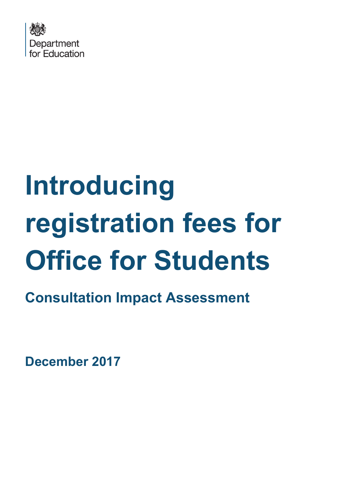

# **Introducing registration fees for Office for Students**

**Consultation Impact Assessment**

**December 2017**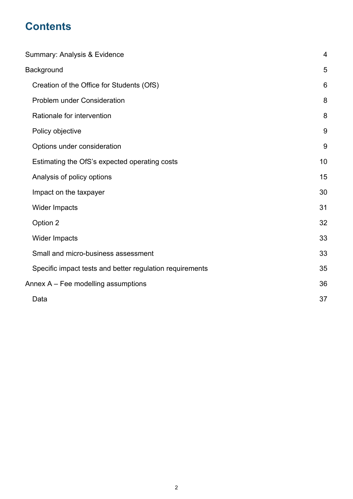# **Contents**

| Summary: Analysis & Evidence                             |    |  |  |  |  |  |
|----------------------------------------------------------|----|--|--|--|--|--|
| <b>Background</b>                                        | 5  |  |  |  |  |  |
| Creation of the Office for Students (OfS)                | 6  |  |  |  |  |  |
| <b>Problem under Consideration</b>                       | 8  |  |  |  |  |  |
| Rationale for intervention                               | 8  |  |  |  |  |  |
| Policy objective                                         | 9  |  |  |  |  |  |
| Options under consideration                              | 9  |  |  |  |  |  |
| Estimating the OfS's expected operating costs            | 10 |  |  |  |  |  |
| Analysis of policy options                               | 15 |  |  |  |  |  |
| Impact on the taxpayer                                   | 30 |  |  |  |  |  |
| Wider Impacts                                            | 31 |  |  |  |  |  |
| Option 2                                                 | 32 |  |  |  |  |  |
| Wider Impacts                                            | 33 |  |  |  |  |  |
| Small and micro-business assessment                      | 33 |  |  |  |  |  |
| Specific impact tests and better regulation requirements | 35 |  |  |  |  |  |
| Annex A – Fee modelling assumptions                      | 36 |  |  |  |  |  |
| Data                                                     | 37 |  |  |  |  |  |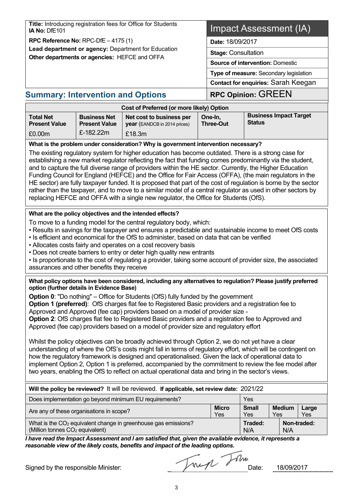| Title: Introducing registration fees for Office for Students<br>IA No: DfE101                                                                                                                                                                                                                                                                                                                                                                                                                                                                                                                                                                                                                                                                                                                                                                                                                                                                                                                                                                                                                                                                                                                   |                                             |                                                                                           | Impact Assessment (IA) |                             |                                                |  |
|-------------------------------------------------------------------------------------------------------------------------------------------------------------------------------------------------------------------------------------------------------------------------------------------------------------------------------------------------------------------------------------------------------------------------------------------------------------------------------------------------------------------------------------------------------------------------------------------------------------------------------------------------------------------------------------------------------------------------------------------------------------------------------------------------------------------------------------------------------------------------------------------------------------------------------------------------------------------------------------------------------------------------------------------------------------------------------------------------------------------------------------------------------------------------------------------------|---------------------------------------------|-------------------------------------------------------------------------------------------|------------------------|-----------------------------|------------------------------------------------|--|
| RPC Reference No: RPC-DfE $-4175(1)$                                                                                                                                                                                                                                                                                                                                                                                                                                                                                                                                                                                                                                                                                                                                                                                                                                                                                                                                                                                                                                                                                                                                                            |                                             |                                                                                           |                        | Date: 18/09/2017            |                                                |  |
| Other departments or agencies: HEFCE and OFFA                                                                                                                                                                                                                                                                                                                                                                                                                                                                                                                                                                                                                                                                                                                                                                                                                                                                                                                                                                                                                                                                                                                                                   |                                             | Lead department or agency: Department for Education                                       |                        | <b>Stage: Consultation</b>  |                                                |  |
|                                                                                                                                                                                                                                                                                                                                                                                                                                                                                                                                                                                                                                                                                                                                                                                                                                                                                                                                                                                                                                                                                                                                                                                                 |                                             |                                                                                           |                        |                             | <b>Source of intervention: Domestic</b>        |  |
|                                                                                                                                                                                                                                                                                                                                                                                                                                                                                                                                                                                                                                                                                                                                                                                                                                                                                                                                                                                                                                                                                                                                                                                                 |                                             |                                                                                           |                        |                             | Type of measure: Secondary legislation         |  |
|                                                                                                                                                                                                                                                                                                                                                                                                                                                                                                                                                                                                                                                                                                                                                                                                                                                                                                                                                                                                                                                                                                                                                                                                 |                                             |                                                                                           |                        |                             | Contact for enquiries: Sarah Keegan            |  |
| <b>Summary: Intervention and Options</b>                                                                                                                                                                                                                                                                                                                                                                                                                                                                                                                                                                                                                                                                                                                                                                                                                                                                                                                                                                                                                                                                                                                                                        |                                             |                                                                                           |                        |                             | <b>RPC Opinion: GREEN</b>                      |  |
|                                                                                                                                                                                                                                                                                                                                                                                                                                                                                                                                                                                                                                                                                                                                                                                                                                                                                                                                                                                                                                                                                                                                                                                                 |                                             | Cost of Preferred (or more likely) Option                                                 |                        |                             |                                                |  |
| <b>Total Net</b><br><b>Present Value</b>                                                                                                                                                                                                                                                                                                                                                                                                                                                                                                                                                                                                                                                                                                                                                                                                                                                                                                                                                                                                                                                                                                                                                        | <b>Business Net</b><br><b>Present Value</b> | Net cost to business per<br>year (EANDCB in 2014 prices)                                  |                        | One-In,<br><b>Three-Out</b> | <b>Business Impact Target</b><br><b>Status</b> |  |
| £0.00m                                                                                                                                                                                                                                                                                                                                                                                                                                                                                                                                                                                                                                                                                                                                                                                                                                                                                                                                                                                                                                                                                                                                                                                          | £-182.22m                                   | £18.3m                                                                                    |                        |                             |                                                |  |
| The existing regulatory system for higher education has become outdated. There is a strong case for<br>establishing a new market regulator reflecting the fact that funding comes predominantly via the student,<br>and to capture the full diverse range of providers within the HE sector. Currently, the Higher Education<br>Funding Council for England (HEFCE) and the Office for Fair Access (OFFA), (the main regulators in the<br>HE sector) are fully taxpayer funded. It is proposed that part of the cost of regulation is borne by the sector<br>rather than the taxpayer, and to move to a similar model of a central regulator as used in other sectors by<br>replacing HEFCE and OFFA with a single new regulator, the Office for Students (OfS).                                                                                                                                                                                                                                                                                                                                                                                                                                |                                             |                                                                                           |                        |                             |                                                |  |
| What are the policy objectives and the intended effects?<br>To move to a funding model for the central regulatory body, which:<br>• Results in savings for the taxpayer and ensures a predictable and sustainable income to meet OfS costs<br>. Is efficient and economical for the OfS to administer, based on data that can be verified<br>• Allocates costs fairly and operates on a cost recovery basis<br>• Does not create barriers to entry or deter high quality new entrants<br>• Is proportionate to the cost of regulating a provider, taking some account of provider size, the associated<br>assurances and other benefits they receive                                                                                                                                                                                                                                                                                                                                                                                                                                                                                                                                            |                                             |                                                                                           |                        |                             |                                                |  |
| What policy options have been considered, including any alternatives to regulation? Please justify preferred<br>option (further details in Evidence Base)<br><b>Option 0:</b> "Do nothing" – Office for Students (OfS) fully funded by the government<br><b>Option 1 (preferred)</b> : OfS charges flat fee to Registered Basic providers and a registration fee to<br>Approved and Approved (fee cap) providers based on a model of provider size -<br>Option 2: OfS charges flat fee to Registered Basic providers and a registration fee to Approved and<br>Approved (fee cap) providers based on a model of provider size and regulatory effort<br>Whilst the policy objectives can be broadly achieved through Option 2, we do not yet have a clear<br>understanding of where the OfS's costs might fall in terms of regulatory effort, which will be contingent on<br>how the regulatory framework is designed and operationalised. Given the lack of operational data to<br>implement Option 2, Option 1 is preferred, accompanied by the commitment to review the fee model after<br>two years, enabling the OfS to reflect on actual operational data and bring in the sector's views. |                                             |                                                                                           |                        |                             |                                                |  |
|                                                                                                                                                                                                                                                                                                                                                                                                                                                                                                                                                                                                                                                                                                                                                                                                                                                                                                                                                                                                                                                                                                                                                                                                 |                                             | Will the policy be reviewed? It will be reviewed. If applicable, set review date: 2021/22 |                        |                             |                                                |  |

| Does implementation go beyond minimum EU requirements?                                                                    | Yes                 |                     |                      |              |
|---------------------------------------------------------------------------------------------------------------------------|---------------------|---------------------|----------------------|--------------|
| Are any of these organisations in scope?                                                                                  | <b>Micro</b><br>Yes | <b>Small</b><br>Yes | <b>Medium</b><br>Yes | Large<br>Yes |
| What is the CO <sub>2</sub> equivalent change in greenhouse gas emissions?<br>(Million tonnes CO <sub>2</sub> equivalent) |                     | Traded:<br>N/A      | N/A                  | Non-traded:  |

*I have read the Impact Assessment and I am satisfied that, given the available evidence, it represents a reasonable view of the likely costs, benefits and impact of the leading options.*

Signed by the responsible Minister:<br>Date: 18/09/2017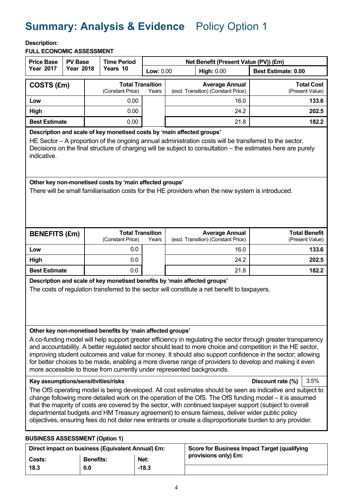# <span id="page-3-0"></span>**Summary: Analysis & Evidence** Policy Option 1

#### **Description:**

**FULL ECONOMIC ASSESSMENT**

| <b>Price Base</b><br><b>PV Base</b>                                                                                                                                                                                                                                                                                                                                                                                                                                                                                                                                                                                                                                                                                                                                                                                                                                                                                                                                                                                                                                                                                                                                                                                 |                                                                                                                                                                           |  | <b>Time Period</b>                          |       | Net Benefit (Present Value (PV)) (£m) |  |                                                              |                                         |  |  |
|---------------------------------------------------------------------------------------------------------------------------------------------------------------------------------------------------------------------------------------------------------------------------------------------------------------------------------------------------------------------------------------------------------------------------------------------------------------------------------------------------------------------------------------------------------------------------------------------------------------------------------------------------------------------------------------------------------------------------------------------------------------------------------------------------------------------------------------------------------------------------------------------------------------------------------------------------------------------------------------------------------------------------------------------------------------------------------------------------------------------------------------------------------------------------------------------------------------------|---------------------------------------------------------------------------------------------------------------------------------------------------------------------------|--|---------------------------------------------|-------|---------------------------------------|--|--------------------------------------------------------------|-----------------------------------------|--|--|
| <b>Year 2017</b>                                                                                                                                                                                                                                                                                                                                                                                                                                                                                                                                                                                                                                                                                                                                                                                                                                                                                                                                                                                                                                                                                                                                                                                                    | <b>Year 2018</b>                                                                                                                                                          |  | Years 10                                    |       | <b>Low: 0.00</b><br><b>High: 0.00</b> |  |                                                              | <b>Best Estimate: 0.00</b>              |  |  |
| COSTS (£m)                                                                                                                                                                                                                                                                                                                                                                                                                                                                                                                                                                                                                                                                                                                                                                                                                                                                                                                                                                                                                                                                                                                                                                                                          |                                                                                                                                                                           |  | <b>Total Transition</b><br>(Constant Price) | Years |                                       |  | <b>Average Annual</b><br>(excl. Transition) (Constant Price) | <b>Total Cost</b><br>(Present Value)    |  |  |
| Low                                                                                                                                                                                                                                                                                                                                                                                                                                                                                                                                                                                                                                                                                                                                                                                                                                                                                                                                                                                                                                                                                                                                                                                                                 |                                                                                                                                                                           |  | 0.00                                        |       |                                       |  | 16.0                                                         | 133.6                                   |  |  |
| High                                                                                                                                                                                                                                                                                                                                                                                                                                                                                                                                                                                                                                                                                                                                                                                                                                                                                                                                                                                                                                                                                                                                                                                                                |                                                                                                                                                                           |  | 0.00                                        |       |                                       |  | 24.2                                                         | 202.5                                   |  |  |
| <b>Best Estimate</b>                                                                                                                                                                                                                                                                                                                                                                                                                                                                                                                                                                                                                                                                                                                                                                                                                                                                                                                                                                                                                                                                                                                                                                                                |                                                                                                                                                                           |  | 0.00                                        |       |                                       |  | 21.8                                                         | 182.2                                   |  |  |
| Description and scale of key monetised costs by 'main affected groups'<br>HE Sector – A proportion of the ongoing annual administration costs will be transferred to the sector.<br>Decisions on the final structure of charging will be subject to consultation – the estimates here are purely<br>indicative.                                                                                                                                                                                                                                                                                                                                                                                                                                                                                                                                                                                                                                                                                                                                                                                                                                                                                                     |                                                                                                                                                                           |  |                                             |       |                                       |  |                                                              |                                         |  |  |
| Other key non-monetised costs by 'main affected groups'<br>There will be small familiarisation costs for the HE providers when the new system is introduced.                                                                                                                                                                                                                                                                                                                                                                                                                                                                                                                                                                                                                                                                                                                                                                                                                                                                                                                                                                                                                                                        |                                                                                                                                                                           |  |                                             |       |                                       |  |                                                              |                                         |  |  |
| <b>BENEFITS (£m)</b>                                                                                                                                                                                                                                                                                                                                                                                                                                                                                                                                                                                                                                                                                                                                                                                                                                                                                                                                                                                                                                                                                                                                                                                                |                                                                                                                                                                           |  | <b>Total Transition</b><br>(Constant Price) | Years |                                       |  | <b>Average Annual</b><br>(excl. Transition) (Constant Price) | <b>Total Benefit</b><br>(Present Value) |  |  |
| Low                                                                                                                                                                                                                                                                                                                                                                                                                                                                                                                                                                                                                                                                                                                                                                                                                                                                                                                                                                                                                                                                                                                                                                                                                 |                                                                                                                                                                           |  | 0.0                                         |       |                                       |  | 16.0                                                         | 133.6                                   |  |  |
| High                                                                                                                                                                                                                                                                                                                                                                                                                                                                                                                                                                                                                                                                                                                                                                                                                                                                                                                                                                                                                                                                                                                                                                                                                |                                                                                                                                                                           |  | 0.0                                         |       |                                       |  | 24.2                                                         | 202.5                                   |  |  |
| <b>Best Estimate</b>                                                                                                                                                                                                                                                                                                                                                                                                                                                                                                                                                                                                                                                                                                                                                                                                                                                                                                                                                                                                                                                                                                                                                                                                |                                                                                                                                                                           |  | 0.0                                         |       |                                       |  | 21.8                                                         | 182.2                                   |  |  |
| Description and scale of key monetised benefits by 'main affected groups'<br>The costs of regulation transferred to the sector will constitute a net benefit to taxpayers.                                                                                                                                                                                                                                                                                                                                                                                                                                                                                                                                                                                                                                                                                                                                                                                                                                                                                                                                                                                                                                          |                                                                                                                                                                           |  |                                             |       |                                       |  |                                                              |                                         |  |  |
| Other key non-monetised benefits by 'main affected groups'<br>A co-funding model will help support greater efficiency in regulating the sector through greater transparency<br>and accountability. A better regulated sector should lead to more choice and competition in the HE sector,<br>improving student outcomes and value for money. It should also support confidence in the sector; allowing<br>for better choices to be made, enabling a more diverse range of providers to develop and making it even<br>more accessible to those from currently under represented backgrounds.<br>Key assumptions/sensitivities/risks<br>Discount rate (%)<br>3.5%<br>The OfS operating model is being developed. All cost estimates should be seen as indicative and subject to<br>change following more detailed work on the operation of the OfS. The OfS funding model – it is assumed<br>that the majority of costs are covered by the sector, with continued taxpayer support (subject to overall<br>departmental budgets and HM Treasury agreement) to ensure fairness, deliver wider public policy<br>objectives, ensuring fees do not deter new entrants or create a disproportionate burden to any provider. |                                                                                                                                                                           |  |                                             |       |                                       |  |                                                              |                                         |  |  |
|                                                                                                                                                                                                                                                                                                                                                                                                                                                                                                                                                                                                                                                                                                                                                                                                                                                                                                                                                                                                                                                                                                                                                                                                                     |                                                                                                                                                                           |  |                                             |       |                                       |  |                                                              |                                         |  |  |
|                                                                                                                                                                                                                                                                                                                                                                                                                                                                                                                                                                                                                                                                                                                                                                                                                                                                                                                                                                                                                                                                                                                                                                                                                     | <b>BUSINESS ASSESSMENT (Option 1)</b><br><b>Score for Business Impact Target (qualifying</b><br>Direct impact on business (Equivalent Annual) £m:<br>nrovisions only) fm. |  |                                             |       |                                       |  |                                                              |                                         |  |  |

|        | Direct impact on business (Equivalent Annual) £m: |         | Score for Business Impact Target (qualifying |  |  |  |
|--------|---------------------------------------------------|---------|----------------------------------------------|--|--|--|
| Costs: | <b>Benefits:</b>                                  | Net:    | provisions only) £m:                         |  |  |  |
| 18.3   | 0.0                                               | $-18.3$ |                                              |  |  |  |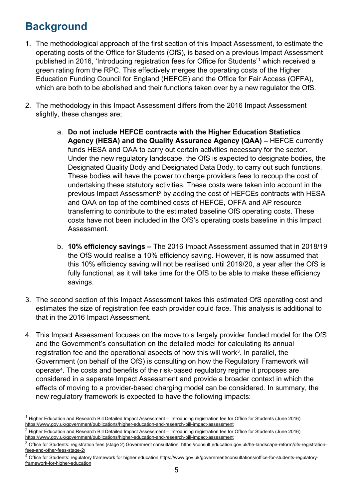# <span id="page-4-0"></span>**Background**

- 1. The methodological approach of the first section of this Impact Assessment, to estimate the operating costs of the Office for Students (OfS), is based on a previous Impact Assessment published in 2016, 'Introducing registration fees for Office for Students'[1](#page-4-1) which received a green rating from the RPC. This effectively merges the operating costs of the Higher Education Funding Council for England (HEFCE) and the Office for Fair Access (OFFA), which are both to be abolished and their functions taken over by a new regulator the OfS.
- 2. The methodology in this Impact Assessment differs from the 2016 Impact Assessment slightly, these changes are;
	- a. **Do not include HEFCE contracts with the Higher Education Statistics Agency (HESA) and the Quality Assurance Agency (QAA) –** HEFCE currently funds HESA and QAA to carry out certain activities necessary for the sector. Under the new regulatory landscape, the OfS is expected to designate bodies, the Designated Quality Body and Designated Data Body, to carry out such functions. These bodies will have the power to charge providers fees to recoup the cost of undertaking these statutory activities. These costs were taken into account in the previous Impact Assessment<sup>[2](#page-4-2)</sup> by adding the cost of HEFCEs contracts with HESA and QAA on top of the combined costs of HEFCE, OFFA and AP resource transferring to contribute to the estimated baseline OfS operating costs. These costs have not been included in the OfS's operating costs baseline in this Impact Assessment.
	- b. **10% efficiency savings –** The 2016 Impact Assessment assumed that in 2018/19 the OfS would realise a 10% efficiency saving. However, it is now assumed that this 10% efficiency saving will not be realised until 2019/20, a year after the OfS is fully functional, as it will take time for the OfS to be able to make these efficiency savings.
- 3. The second section of this Impact Assessment takes this estimated OfS operating cost and estimates the size of registration fee each provider could face. This analysis is additional to that in the 2016 Impact Assessment.
- 4. This Impact Assessment focuses on the move to a largely provider funded model for the OfS and the Government's consultation on the detailed model for calculating its annual registration fee and the operational aspects of how this will work $3$ . In parallel, the Government (on behalf of the OfS) is consulting on how the Regulatory Framework will operate[4.](#page-4-4) The costs and benefits of the risk-based regulatory regime it proposes are considered in a separate Impact Assessment and provide a broader context in which the effects of moving to a provider-based charging model can be considered. In summary, the new regulatory framework is expected to have the following impacts:

<span id="page-4-1"></span><sup>&</sup>lt;sup>1</sup> Higher Education and Research Bill Detailed Impact Assessment – Introducing registration fee for Office for Students (June 2016) <https://www.gov.uk/government/publications/higher-education-and-research-bill-impact-assessment>

<span id="page-4-2"></span><sup>&</sup>lt;sup>2</sup> Higher Education and Research Bill Detailed Impact Assessment – Introducing registration fee for Office for Students (June 2016) <https://www.gov.uk/government/publications/higher-education-and-research-bill-impact-assessment>

<span id="page-4-3"></span><sup>3</sup> Office for Students: registration fees (stage 2) Government consultation [https://consult.education.gov.uk/he-landscape-reform/ofs-registration](https://consult.education.gov.uk/he-landscape-reform/ofs-registration-fees-and-other-fees-stage-2/)[fees-and-other-fees-stage-2/](https://consult.education.gov.uk/he-landscape-reform/ofs-registration-fees-and-other-fees-stage-2/)

<span id="page-4-4"></span><sup>&</sup>lt;sup>4</sup> Office for Students: regulatory framework for higher educatio[n https://www.gov.uk/government/consultations/office-for-students-regulatory](https://www.gov.uk/government/consultations/office-for-students-regulatory-framework-for-higher-education)[framework-for-higher-education](https://www.gov.uk/government/consultations/office-for-students-regulatory-framework-for-higher-education)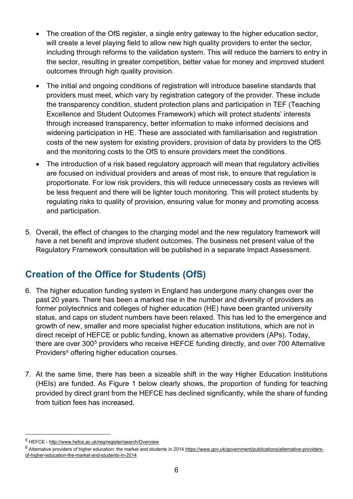- The creation of the OfS register, a single entry gateway to the higher education sector, will create a level playing field to allow new high quality providers to enter the sector, including through reforms to the validation system. This will reduce the barriers to entry in the sector, resulting in greater competition, better value for money and improved student outcomes through high quality provision.
- The initial and ongoing conditions of registration will introduce baseline standards that providers must meet, which vary by registration category of the provider. These include the transparency condition, student protection plans and participation in TEF (Teaching Excellence and Student Outcomes Framework) which will protect students' interests through increased transparency, better information to make informed decisions and widening participation in HE. These are associated with familiarisation and registration costs of the new system for existing providers, provision of data by providers to the OfS and the monitoring costs to the OfS to ensure providers meet the conditions.
- The introduction of a risk based regulatory approach will mean that regulatory activities are focused on individual providers and areas of most risk, to ensure that regulation is proportionate. For low risk providers, this will reduce unnecessary costs as reviews will be less frequent and there will be lighter touch monitoring. This will protect students by regulating risks to quality of provision, ensuring value for money and promoting access and participation.
- 5. Overall, the effect of changes to the charging model and the new regulatory framework will have a net benefit and improve student outcomes. The business net present value of the Regulatory Framework consultation will be published in a separate Impact Assessment.

## <span id="page-5-0"></span>**Creation of the Office for Students (OfS)**

- 6. The higher education funding system in England has undergone many changes over the past 20 years. There has been a marked rise in the number and diversity of providers as former polytechnics and colleges of higher education (HE) have been granted university status, and caps on student numbers have been relaxed. This has led to the emergence and growth of new, smaller and more specialist higher education institutions, which are not in direct receipt of HEFCE or public funding, known as alternative providers (APs). Today, there are over 300<sup>[5](#page-5-1)</sup> providers who receive HEFCE funding directly, and over 700 Alternative Providers<sup>[6](#page-5-2)</sup> offering higher education courses.
- 7. At the same time, there has been a sizeable shift in the way Higher Education Institutions (HEIs) are funded. As Figure 1 below clearly shows, the proportion of funding for teaching provided by direct grant from the HEFCE has declined significantly, while the share of funding from tuition fees has increased.

<span id="page-5-1"></span> <sup>5</sup> HEFCE - <http://www.hefce.ac.uk/reg/register/search/Overview>

<span id="page-5-2"></span><sup>&</sup>lt;sup>6</sup> Alternative providers of higher education: the market and students in 2014 [https://www.gov.uk/government/publications/alternative-providers](https://www.gov.uk/government/publications/alternative-providers-of-higher-education-the-market-and-students-in-2014)[of-higher-education-the-market-and-students-in-2014](https://www.gov.uk/government/publications/alternative-providers-of-higher-education-the-market-and-students-in-2014)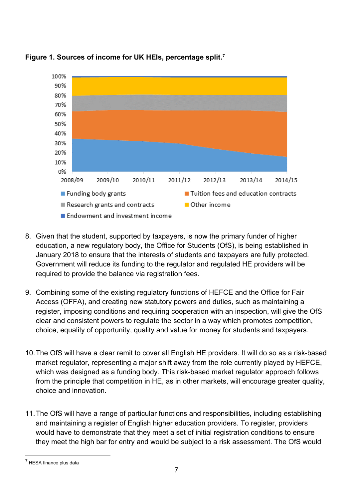

**Figure 1. Sources of income for UK HEIs, percentage split.[7](#page-6-0)**

- 8. Given that the student, supported by taxpayers, is now the primary funder of higher education, a new regulatory body, the Office for Students (OfS), is being established in January 2018 to ensure that the interests of students and taxpayers are fully protected. Government will reduce its funding to the regulator and regulated HE providers will be required to provide the balance via registration fees.
- 9. Combining some of the existing regulatory functions of HEFCE and the Office for Fair Access (OFFA), and creating new statutory powers and duties, such as maintaining a register, imposing conditions and requiring cooperation with an inspection, will give the OfS clear and consistent powers to regulate the sector in a way which promotes competition, choice, equality of opportunity, quality and value for money for students and taxpayers.
- 10.The OfS will have a clear remit to cover all English HE providers. It will do so as a risk-based market regulator, representing a major shift away from the role currently played by HEFCE, which was designed as a funding body. This risk-based market regulator approach follows from the principle that competition in HE, as in other markets, will encourage greater quality, choice and innovation.
- 11.The OfS will have a range of particular functions and responsibilities, including establishing and maintaining a register of English higher education providers. To register, providers would have to demonstrate that they meet a set of initial registration conditions to ensure they meet the high bar for entry and would be subject to a risk assessment. The OfS would

<span id="page-6-0"></span> <sup>7</sup> HESA finance plus data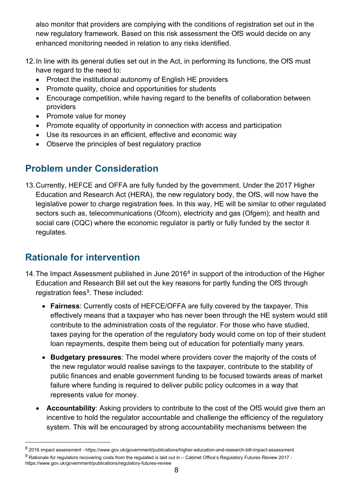also monitor that providers are complying with the conditions of registration set out in the new regulatory framework. Based on this risk assessment the OfS would decide on any enhanced monitoring needed in relation to any risks identified.

- 12.In line with its general duties set out in the Act, in performing its functions, the OfS must have regard to the need to:
	- Protect the institutional autonomy of English HE providers
	- Promote quality, choice and opportunities for students
	- Encourage competition, while having regard to the benefits of collaboration between providers
	- Promote value for money
	- Promote equality of opportunity in connection with access and participation
	- Use its resources in an efficient, effective and economic way
	- Observe the principles of best regulatory practice

# <span id="page-7-0"></span>**Problem under Consideration**

13.Currently, HEFCE and OFFA are fully funded by the government. Under the 2017 Higher Education and Research Act (HERA), the new regulatory body, the OfS, will now have the legislative power to charge registration fees. In this way, HE will be similar to other regulated sectors such as, telecommunications (Ofcom), electricity and gas (Ofgem); and health and social care (CQC) where the economic regulator is partly or fully funded by the sector it regulates.

# <span id="page-7-1"></span>**Rationale for intervention**

- 14. The Impact Assessment published in June  $2016<sup>8</sup>$  $2016<sup>8</sup>$  $2016<sup>8</sup>$  in support of the introduction of the Higher Education and Research Bill set out the key reasons for partly funding the OfS through registration fees<sup>9</sup>. These included:
	- **Fairness**: Currently costs of HEFCE/OFFA are fully covered by the taxpayer. This effectively means that a taxpayer who has never been through the HE system would still contribute to the administration costs of the regulator. For those who have studied, taxes paying for the operation of the regulatory body would come on top of their student loan repayments, despite them being out of education for potentially many years.
	- **Budgetary pressures**: The model where providers cover the majority of the costs of the new regulator would realise savings to the taxpayer, contribute to the stability of public finances and enable government funding to be focused towards areas of market failure where funding is required to deliver public policy outcomes in a way that represents value for money.
	- **Accountability**: Asking providers to contribute to the cost of the OfS would give them an incentive to hold the regulator accountable and challenge the efficiency of the regulatory system. This will be encouraged by strong accountability mechanisms between the

<span id="page-7-3"></span><span id="page-7-2"></span> $8$  2016 impact assessment - https://www.gov.uk/government/publications/higher-education-and-research-bill-impact-assessment  $9$  Rationale for regulators recovering costs from the regulated is laid out in – Cabinet Office's Regulatory Futures Review 2017 https://www.gov.uk/government/publications/regulatory-futures-review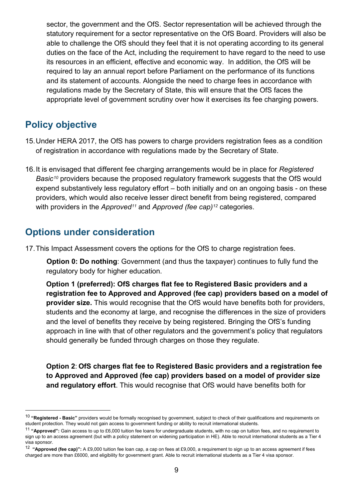sector, the government and the OfS. Sector representation will be achieved through the statutory requirement for a sector representative on the OfS Board. Providers will also be able to challenge the OfS should they feel that it is not operating according to its general duties on the face of the Act, including the requirement to have regard to the need to use its resources in an efficient, effective and economic way. In addition, the OfS will be required to lay an annual report before Parliament on the performance of its functions and its statement of accounts. Alongside the need to charge fees in accordance with regulations made by the Secretary of State, this will ensure that the OfS faces the appropriate level of government scrutiny over how it exercises its fee charging powers.

## <span id="page-8-0"></span>**Policy objective**

- 15.Under HERA 2017, the OfS has powers to charge providers registration fees as a condition of registration in accordance with regulations made by the Secretary of State.
- 16.It is envisaged that different fee charging arrangements would be in place for *Registered Basic[10](#page-8-2)* providers because the proposed regulatory framework suggests that the OfS would expend substantively less regulatory effort – both initially and on an ongoing basis - on these providers, which would also receive lesser direct benefit from being registered, compared with providers in the *Approved[11](#page-8-3)* and *Approved (fee cap)[12](#page-8-4)* categories.

## <span id="page-8-1"></span>**Options under consideration**

17.This Impact Assessment covers the options for the OfS to charge registration fees.

**Option 0: Do nothing:** Government (and thus the taxpayer) continues to fully fund the regulatory body for higher education.

**Option 1 (preferred): OfS charges flat fee to Registered Basic providers and a registration fee to Approved and Approved (fee cap) providers based on a model of provider size.** This would recognise that the OfS would have benefits both for providers, students and the economy at large, and recognise the differences in the size of providers and the level of benefits they receive by being registered. Bringing the OfS's funding approach in line with that of other regulators and the government's policy that regulators should generally be funded through charges on those they regulate.

**Option 2**: **OfS charges flat fee to Registered Basic providers and a registration fee to Approved and Approved (fee cap) providers based on a model of provider size and regulatory effort**. This would recognise that OfS would have benefits both for

<span id="page-8-2"></span> <sup>10</sup> **"Registered - Basic"** providers would be formally recognised by government, subject to check of their qualifications and requirements on student protection. They would not gain access to government funding or ability to recruit international students.

<span id="page-8-3"></span><sup>11</sup> **"Approved":** Gain access to up to £6,000 tuition fee loans for undergraduate students, with no cap on tuition fees, and no requirement to sign up to an access agreement (but with a policy statement on widening participation in HE). Able to recruit international students as a Tier 4 visa sponsor.

<span id="page-8-4"></span><sup>12</sup> **"Approved (fee cap)":** A £9,000 tuition fee loan cap, a cap on fees at £9,000, a requirement to sign up to an access agreement if fees charged are more than £6000, and eligibility for government grant. Able to recruit international students as a Tier 4 visa sponsor.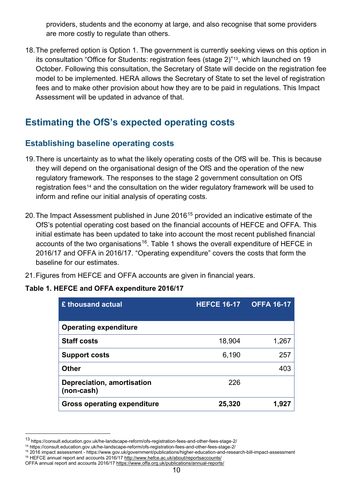providers, students and the economy at large, and also recognise that some providers are more costly to regulate than others.

18.The preferred option is Option 1. The government is currently seeking views on this option in its consultation "Office for Students: registration fees (stage 2)"<sup>13</sup>, which launched on 19 October. Following this consultation, the Secretary of State will decide on the registration fee model to be implemented. HERA allows the Secretary of State to set the level of registration fees and to make other provision about how they are to be paid in regulations. This Impact Assessment will be updated in advance of that.

## <span id="page-9-0"></span>**Estimating the OfS's expected operating costs**

## **Establishing baseline operating costs**

- 19.There is uncertainty as to what the likely operating costs of the OfS will be. This is because they will depend on the organisational design of the OfS and the operation of the new regulatory framework. The responses to the stage 2 government consultation on OfS registration fees<sup>[14](#page-9-2)</sup> and the consultation on the wider regulatory framework will be used to inform and refine our initial analysis of operating costs.
- 20. The Impact Assessment published in June 2016<sup>[15](#page-9-3)</sup> provided an indicative estimate of the OfS's potential operating cost based on the financial accounts of HEFCE and OFFA. This initial estimate has been updated to take into account the most recent published financial accounts of the two organisations<sup>16</sup>. Table 1 shows the overall expenditure of HEFCE in 2016/17 and OFFA in 2016/17. "Operating expenditure" covers the costs that form the baseline for our estimates.
- 21.Figures from HEFCE and OFFA accounts are given in financial years.

#### **Table 1. HEFCE and OFFA expenditure 2016/17**

| £ thousand actual                        | <b>HEFCE 16-17</b> | <b>OFFA 16-17</b> |
|------------------------------------------|--------------------|-------------------|
| <b>Operating expenditure</b>             |                    |                   |
| <b>Staff costs</b>                       | 18,904             | 1,267             |
| <b>Support costs</b>                     | 6,190              | 257               |
| <b>Other</b>                             |                    | 403               |
| Depreciation, amortisation<br>(non-cash) | 226                |                   |
| <b>Gross operating expenditure</b>       | 25,320             | 1.927             |

<span id="page-9-1"></span> <sup>13</sup> https://consult.education.gov.uk/he-landscape-reform/ofs-registration-fees-and-other-fees-stage-2/

<span id="page-9-2"></span><sup>14</sup> https://consult.education.gov.uk/he-landscape-reform/ofs-registration-fees-and-other-fees-stage-2/

<span id="page-9-3"></span><sup>15</sup> 2016 impact assessment - https://www.gov.uk/government/publications/higher-education-and-research-bill-impact-assessment <sup>16</sup> HEFCE annual report and accounts 2016/17<http://www.hefce.ac.uk/about/reportsaccounts/>

<span id="page-9-4"></span>OFFA annual report and accounts 2016/1[7 https://www.offa.org.uk/publications/annual-reports/](https://www.offa.org.uk/publications/annual-reports/)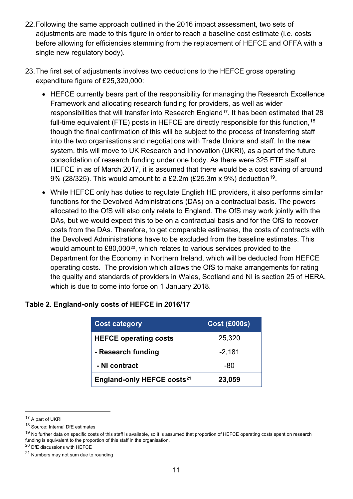- 22.Following the same approach outlined in the 2016 impact assessment, two sets of adjustments are made to this figure in order to reach a baseline cost estimate (i.e. costs before allowing for efficiencies stemming from the replacement of HEFCE and OFFA with a single new regulatory body).
- 23.The first set of adjustments involves two deductions to the HEFCE gross operating expenditure figure of £25,320,000:
	- HEFCE currently bears part of the responsibility for managing the Research Excellence Framework and allocating research funding for providers, as well as wider responsibilities that will transfer into Research England<sup>[17](#page-10-0)</sup>. It has been estimated that 28 full-time equivalent (FTE) posts in HEFCE are directly responsible for this function,<sup>[18](#page-10-1)</sup> though the final confirmation of this will be subject to the process of transferring staff into the two organisations and negotiations with Trade Unions and staff. In the new system, this will move to UK Research and Innovation (UKRI), as a part of the future consolidation of research funding under one body. As there were 325 FTE staff at HEFCE in as of March 2017, it is assumed that there would be a cost saving of around 9% (28/325). This would amount to a £2.2m (£25.3m x 9%) deduction<sup>19</sup>.
	- While HEFCE only has duties to regulate English HE providers, it also performs similar functions for the Devolved Administrations (DAs) on a contractual basis. The powers allocated to the OfS will also only relate to England. The OfS may work jointly with the DAs, but we would expect this to be on a contractual basis and for the OfS to recover costs from the DAs. Therefore, to get comparable estimates, the costs of contracts with the Devolved Administrations have to be excluded from the baseline estimates. This would amount to £80,000[20](#page-10-3), which relates to various services provided to the Department for the Economy in Northern Ireland, which will be deducted from HEFCE operating costs. The provision which allows the OfS to make arrangements for rating the quality and standards of providers in Wales, Scotland and NI is section 25 of HERA, which is due to come into force on 1 January 2018.

| <b>Cost category</b>                   | <b>Cost (£000s)</b> |
|----------------------------------------|---------------------|
| <b>HEFCE operating costs</b>           | 25,320              |
| - Research funding                     | $-2,181$            |
| - NI contract                          | -80                 |
| England-only HEFCE costs <sup>21</sup> | 23,059              |

#### **Table 2. England-only costs of HEFCE in 2016/17**

<span id="page-10-0"></span> <sup>17</sup> A part of UKRI

<span id="page-10-1"></span><sup>18</sup> Source: Internal DfE estimates

<span id="page-10-2"></span><sup>&</sup>lt;sup>19</sup> No further data on specific costs of this staff is available, so it is assumed that proportion of HEFCE operating costs spent on research funding is equivalent to the proportion of this staff in the organisation.

<span id="page-10-3"></span><sup>20</sup> DfE discussions with HEFCE

<span id="page-10-4"></span><sup>21</sup> Numbers may not sum due to rounding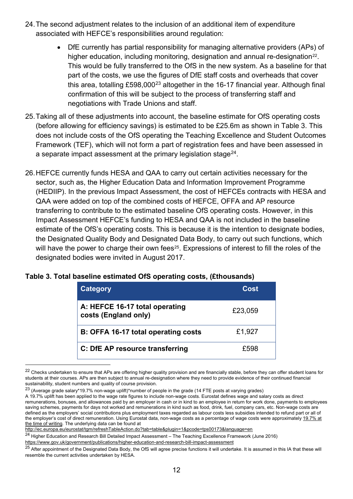- 24.The second adjustment relates to the inclusion of an additional item of expenditure associated with HEFCE's responsibilities around regulation:
	- DfE currently has partial responsibility for managing alternative providers (APs) of higher education, including monitoring, designation and annual re-designation<sup>[22](#page-11-0)</sup>. This would be fully transferred to the OfS in the new system. As a baseline for that part of the costs, we use the figures of DfE staff costs and overheads that cover this area, totalling  $£598,000^{23}$  $£598,000^{23}$  $£598,000^{23}$  altogether in the 16-17 financial year. Although final confirmation of this will be subject to the process of transferring staff and negotiations with Trade Unions and staff.
- 25.Taking all of these adjustments into account, the baseline estimate for OfS operating costs (before allowing for efficiency savings) is estimated to be £25.6m as shown in Table 3. This does not include costs of the OfS operating the Teaching Excellence and Student Outcomes Framework (TEF), which will not form a part of registration fees and have been assessed in a separate impact assessment at the primary legislation stage<sup>24</sup>.
- 26.HEFCE currently funds HESA and QAA to carry out certain activities necessary for the sector, such as, the Higher Education Data and Information Improvement Programme (HEDIIP). In the previous Impact Assessment, the cost of HEFCEs contracts with HESA and QAA were added on top of the combined costs of HEFCE, OFFA and AP resource transferring to contribute to the estimated baseline OfS operating costs. However, in this Impact Assessment HEFCE's funding to HESA and QAA is not included in the baseline estimate of the OfS's operating costs. This is because it is the intention to designate bodies, the Designated Quality Body and Designated Data Body, to carry out such functions, which will have the power to charge their own fees<sup>[25](#page-11-3)</sup>. Expressions of interest to fill the roles of the designated bodies were invited in August 2017.

| <b>Category</b>                                        | Cost    |
|--------------------------------------------------------|---------|
| A: HEFCE 16-17 total operating<br>costs (England only) | £23,059 |
| B: OFFA 16-17 total operating costs                    | £1,927  |
| C: DfE AP resource transferring                        | £598    |

#### **Table 3. Total baseline estimated OfS operating costs, (£thousands)**

<span id="page-11-0"></span><sup>&</sup>lt;sup>22</sup> Checks undertaken to ensure that APs are offering higher quality provision and are financially stable, before they can offer student loans for students at their courses. APs are then subject to annual re-designation where they need to provide evidence of their continued financial sustainability, student numbers and quality of course provision.

<span id="page-11-1"></span><sup>23</sup> (Average grade salary\*19.7% non-wage uplift)\*number of people in the grade (14 FTE posts at varying grades)

A 19.7% uplift has been applied to the wage rate figures to include non-wage costs. Eurostat defines wage and salary costs as direct remunerations, bonuses, and allowances paid by an employer in cash or in kind to an employee in return for work done, payments to employees saving schemes, payments for days not worked and remunerations in kind such as food, drink, fuel, company cars, etc. Non-wage costs are defined as the employers' social contributions plus employment taxes regarded as labour costs less subsidies intended to refund part or all of the employer's cost of direct remuneration. Using Eurostat data, non-wage costs as a percentage of wage costs were approximately 19.7% at the time of writing. The underlying data can be found at

<http://ec.europa.eu/eurostat/tgm/refreshTableAction.do?tab=table&plugin=1&pcode=tps00173&language=en>

<span id="page-11-2"></span><sup>&</sup>lt;sup>24</sup> Higher Education and Research Bill Detailed Impact Assessment – The Teaching Excellence Framework (June 2016) <https://www.gov.uk/government/publications/higher-education-and-research-bill-impact-assessment>

<span id="page-11-3"></span> $25$  After appointment of the Designated Data Body, the OfS will agree precise functions it will undertake. It is assumed in this IA that these will resemble the current activities undertaken by HESA.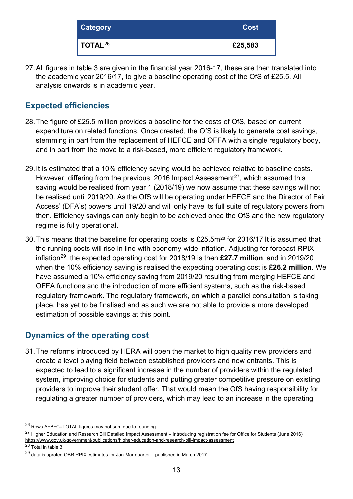| <b>Category</b>              | <b>Cost</b> |
|------------------------------|-------------|
| $\overline{ }$ TOTAL $^{26}$ | £25,583     |

27.All figures in table 3 are given in the financial year 2016-17, these are then translated into the academic year 2016/17, to give a baseline operating cost of the OfS of £25.5. All analysis onwards is in academic year.

## **Expected efficiencies**

- 28.The figure of £25.5 million provides a baseline for the costs of OfS, based on current expenditure on related functions. Once created, the OfS is likely to generate cost savings, stemming in part from the replacement of HEFCE and OFFA with a single regulatory body, and in part from the move to a risk-based, more efficient regulatory framework.
- 29.It is estimated that a 10% efficiency saving would be achieved relative to baseline costs. However, differing from the previous 2016 Impact Assessment<sup>[27](#page-12-1)</sup>, which assumed this saving would be realised from year 1 (2018/19) we now assume that these savings will not be realised until 2019/20. As the OfS will be operating under HEFCE and the Director of Fair Access' (DFA's) powers until 19/20 and will only have its full suite of regulatory powers from then. Efficiency savings can only begin to be achieved once the OfS and the new regulatory regime is fully operational.
- 30. This means that the baseline for operating costs is £25.5m<sup>[28](#page-12-2)</sup> for 2016/17 It is assumed that the running costs will rise in line with economy-wide inflation. Adjusting for forecast RPIX inflation[29](#page-12-3), the expected operating cost for 2018/19 is then **£27.7 million**, and in 2019/20 when the 10% efficiency saving is realised the expecting operating cost is **£26.2 million**. We have assumed a 10% efficiency saving from 2019/20 resulting from merging HEFCE and OFFA functions and the introduction of more efficient systems, such as the risk-based regulatory framework. The regulatory framework, on which a parallel consultation is taking place, has yet to be finalised and as such we are not able to provide a more developed estimation of possible savings at this point.

## **Dynamics of the operating cost**

31.The reforms introduced by HERA will open the market to high quality new providers and create a level playing field between established providers and new entrants. This is expected to lead to a significant increase in the number of providers within the regulated system, improving choice for students and putting greater competitive pressure on existing providers to improve their student offer. That would mean the OfS having responsibility for regulating a greater number of providers, which may lead to an increase in the operating

<span id="page-12-0"></span> <sup>26</sup> Rows A+B+C=TOTAL figures may not sum due to rounding

<span id="page-12-1"></span><sup>&</sup>lt;sup>27</sup> Higher Education and Research Bill Detailed Impact Assessment – Introducing registration fee for Office for Students (June 2016) <https://www.gov.uk/government/publications/higher-education-and-research-bill-impact-assessment>

<span id="page-12-2"></span><sup>28</sup> Total in table 3

<span id="page-12-3"></span> $^{29}$  data is uprated OBR RPIX estimates for Jan-Mar quarter – published in March 2017.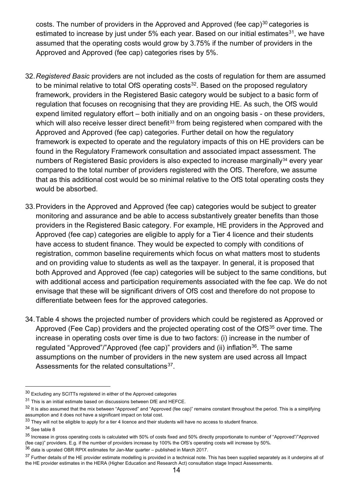costs. The number of providers in the Approved and Approved (fee cap) $30$  categories is estimated to increase by just under 5% each year. Based on our initial estimates $31$ , we have assumed that the operating costs would grow by 3.75% if the number of providers in the Approved and Approved (fee cap) categories rises by 5%.

- 32.*Registered Basic* providers are not included as the costs of regulation for them are assumed to be minimal relative to total OfS operating  $costs<sup>32</sup>$  $costs<sup>32</sup>$  $costs<sup>32</sup>$ . Based on the proposed regulatory framework, providers in the Registered Basic category would be subject to a basic form of regulation that focuses on recognising that they are providing HE. As such, the OfS would expend limited regulatory effort – both initially and on an ongoing basis - on these providers, which will also receive lesser direct benefit<sup>[33](#page-13-3)</sup> from being registered when compared with the Approved and Approved (fee cap) categories. Further detail on how the regulatory framework is expected to operate and the regulatory impacts of this on HE providers can be found in the Regulatory Framework consultation and associated impact assessment. The numbers of Registered Basic providers is also expected to increase marginally<sup>[34](#page-13-4)</sup> every year compared to the total number of providers registered with the OfS. Therefore, we assume that as this additional cost would be so minimal relative to the OfS total operating costs they would be absorbed.
- 33.Providers in the Approved and Approved (fee cap) categories would be subject to greater monitoring and assurance and be able to access substantively greater benefits than those providers in the Registered Basic category. For example, HE providers in the Approved and Approved (fee cap) categories are eligible to apply for a Tier 4 licence and their students have access to student finance. They would be expected to comply with conditions of registration, common baseline requirements which focus on what matters most to students and on providing value to students as well as the taxpayer. In general, it is proposed that both Approved and Approved (fee cap) categories will be subject to the same conditions, but with additional access and participation requirements associated with the fee cap. We do not envisage that these will be significant drivers of OfS cost and therefore do not propose to differentiate between fees for the approved categories.
- 34.Table 4 shows the projected number of providers which could be registered as Approved or Approved (Fee Cap) providers and the projected operating cost of the OfS<sup>[35](#page-13-5)</sup> over time. The increase in operating costs over time is due to two factors: (i) increase in the number of regulated "Approved"/"Approved (fee cap)" providers and (ii) inflation<sup>[36](#page-13-6)</sup>. The same assumptions on the number of providers in the new system are used across all Impact Assessments for the related consultations<sup>37</sup>.

<span id="page-13-0"></span> <sup>30</sup> Excluding any SCITTs registered in either of the Approved categories

<span id="page-13-1"></span><sup>31</sup> This is an initial estimate based on discussions between DfE and HEFCE.

<span id="page-13-2"></span><sup>32</sup> It is also assumed that the mix between "Approved" and "Approved (fee cap)" remains constant throughout the period. This is a simplifying assumption and it does not have a significant impact on total cost.

<span id="page-13-3"></span> $33$  They will not be eligible to apply for a tier 4 licence and their students will have no access to student finance.

<span id="page-13-4"></span><sup>34</sup> See table 8

<span id="page-13-5"></span><sup>&</sup>lt;sup>35</sup> Increase in gross operating costs is calculated with 50% of costs fixed and 50% directly proportionate to number of "Approved"/"Approved (fee cap)" providers. E.g. if the number of providers increase by 100% the OfS's operating costs will increase by 50%.

<span id="page-13-6"></span> $36$  data is uprated OBR RPIX estimates for Jan-Mar quarter – published in March 2017.

<span id="page-13-7"></span><sup>&</sup>lt;sup>37</sup> Further details of the HE provider estimate modelling is provided in a technical note. This has been supplied separately as it underpins all of the HE provider estimates in the HERA (Higher Education and Research Act) consultation stage Impact Assessments.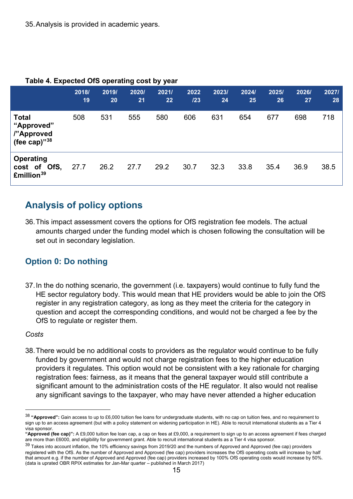|                                                             | 2018/<br>19 | 2019/<br>20 | 2020/<br>21 | 2021/<br>22 | 2022<br>123 | 2023/<br>24 | 2024/<br>25 | 2025/<br>26 | 2026/<br>27 | 2027/<br>28 |
|-------------------------------------------------------------|-------------|-------------|-------------|-------------|-------------|-------------|-------------|-------------|-------------|-------------|
| <b>Total</b><br>"Approved"<br>l"Approved<br>(fee cap)" $38$ | 508         | 531         | 555         | 580         | 606         | 631         | 654         | 677         | 698         | 718         |
| <b>Operating</b><br>cost of OfS,<br>£million <sup>39</sup>  | 27.7        | 26.2        | 27.7        | 29.2        | 30.7        | 32.3        | 33.8        | 35.4        | 36.9        | 38.5        |

#### **Table 4. Expected OfS operating cost by year**

## <span id="page-14-0"></span>**Analysis of policy options**

36.This impact assessment covers the options for OfS registration fee models. The actual amounts charged under the funding model which is chosen following the consultation will be set out in secondary legislation.

## **Option 0: Do nothing**

37.In the do nothing scenario, the government (i.e. taxpayers) would continue to fully fund the HE sector regulatory body. This would mean that HE providers would be able to join the OfS register in any registration category, as long as they meet the criteria for the category in question and accept the corresponding conditions, and would not be charged a fee by the OfS to regulate or register them.

#### *Costs*

38.There would be no additional costs to providers as the regulator would continue to be fully funded by government and would not charge registration fees to the higher education providers it regulates. This option would not be consistent with a key rationale for charging registration fees: fairness, as it means that the general taxpayer would still contribute a significant amount to the administration costs of the HE regulator. It also would not realise any significant savings to the taxpayer, who may have never attended a higher education

<span id="page-14-1"></span> <sup>38</sup> **"Approved":** Gain access to up to £6,000 tuition fee loans for undergraduate students, with no cap on tuition fees, and no requirement to sign up to an access agreement (but with a policy statement on widening participation in HE). Able to recruit international students as a Tier 4 visa sponsor.

**<sup>&</sup>quot;Approved (fee cap)":** A £9,000 tuition fee loan cap, a cap on fees at £9,000, a requirement to sign up to an access agreement if fees charged are more than £6000, and eligibility for government grant. Able to recruit international students as a Tier 4 visa sponsor.

<span id="page-14-2"></span><sup>&</sup>lt;sup>39</sup> Takes into account inflation, the 10% efficiency savings from 2019/20 and the numbers of Approved and Approved (fee cap) providers registered with the OfS. As the number of Approved and Approved (fee cap) providers increases the OfS operating costs will increase by half that amount e.g. if the number of Approved and Approved (fee cap) providers increased by 100% OfS operating costs would increase by 50%. (data is uprated OBR RPIX estimates for Jan-Mar quarter – published in March 2017)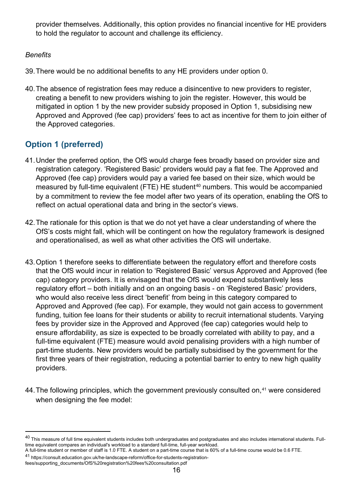provider themselves. Additionally, this option provides no financial incentive for HE providers to hold the regulator to account and challenge its efficiency.

#### *Benefits*

- 39.There would be no additional benefits to any HE providers under option 0.
- 40.The absence of registration fees may reduce a disincentive to new providers to register, creating a benefit to new providers wishing to join the register. However, this would be mitigated in option 1 by the new provider subsidy proposed in Option 1, subsidising new Approved and Approved (fee cap) providers' fees to act as incentive for them to join either of the Approved categories.

## **Option 1 (preferred)**

- 41.Under the preferred option, the OfS would charge fees broadly based on provider size and registration category. 'Registered Basic' providers would pay a flat fee. The Approved and Approved (fee cap) providers would pay a varied fee based on their size, which would be measured by full-time equivalent (FTE) HE student<sup>[40](#page-15-0)</sup> numbers. This would be accompanied by a commitment to review the fee model after two years of its operation, enabling the OfS to reflect on actual operational data and bring in the sector's views.
- 42.The rationale for this option is that we do not yet have a clear understanding of where the OfS's costs might fall, which will be contingent on how the regulatory framework is designed and operationalised, as well as what other activities the OfS will undertake.
- 43.Option 1 therefore seeks to differentiate between the regulatory effort and therefore costs that the OfS would incur in relation to 'Registered Basic' versus Approved and Approved (fee cap) category providers. It is envisaged that the OfS would expend substantively less regulatory effort – both initially and on an ongoing basis - on 'Registered Basic' providers, who would also receive less direct 'benefit' from being in this category compared to Approved and Approved (fee cap). For example, they would not gain access to government funding, tuition fee loans for their students or ability to recruit international students. Varying fees by provider size in the Approved and Approved (fee cap) categories would help to ensure affordability, as size is expected to be broadly correlated with ability to pay, and a full-time equivalent (FTE) measure would avoid penalising providers with a high number of part-time students. New providers would be partially subsidised by the government for the first three years of their registration, reducing a potential barrier to entry to new high quality providers.
- 44. The following principles, which the government previously consulted on,<sup>[41](#page-15-1)</sup> were considered when designing the fee model:

<span id="page-15-0"></span> $40$  This measure of full time equivalent students includes both undergraduates and postgraduates and also includes international students. Fulltime equivalent compares an individual's workload to a standard full-time, full-year workload.

A full-time student or member of staff is 1.0 FTE. A student on a part-time course that is 60% of a full-time course would be 0.6 FTE.

<span id="page-15-1"></span><sup>41</sup> https://consult.education.gov.uk/he-landscape-reform/office-for-students-registrationfees/supporting\_documents/OfS%20registration%20fees%20consultation.pdf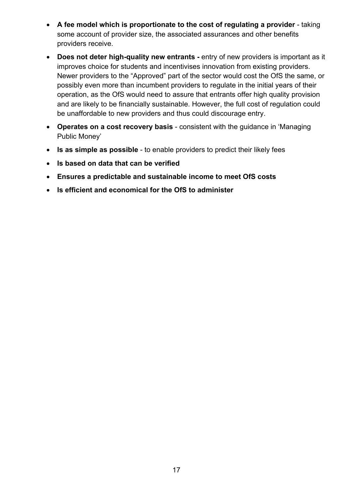- **A fee model which is proportionate to the cost of regulating a provider** taking some account of provider size, the associated assurances and other benefits providers receive.
- **Does not deter high-quality new entrants -** entry of new providers is important as it improves choice for students and incentivises innovation from existing providers. Newer providers to the "Approved" part of the sector would cost the OfS the same, or possibly even more than incumbent providers to regulate in the initial years of their operation, as the OfS would need to assure that entrants offer high quality provision and are likely to be financially sustainable. However, the full cost of regulation could be unaffordable to new providers and thus could discourage entry.
- **Operates on a cost recovery basis** consistent with the guidance in 'Managing Public Money'
- **Is as simple as possible** to enable providers to predict their likely fees
- **Is based on data that can be verified**
- **Ensures a predictable and sustainable income to meet OfS costs**
- **Is efficient and economical for the OfS to administer**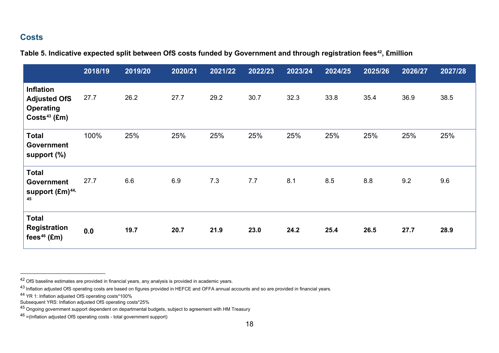#### <span id="page-17-4"></span><span id="page-17-3"></span><span id="page-17-2"></span><span id="page-17-1"></span><span id="page-17-0"></span>**Costs**

| Table 5. Indicative expected split between OfS costs funded by Government and through registration fees <sup>42</sup> , £million |  |  |
|----------------------------------------------------------------------------------------------------------------------------------|--|--|
|----------------------------------------------------------------------------------------------------------------------------------|--|--|

|                                                                               | 2018/19 | 2019/20 | 2020/21 | 2021/22 | 2022/23 | 2023/24 | 2024/25 | 2025/26 | 2026/27 | 2027/28 |
|-------------------------------------------------------------------------------|---------|---------|---------|---------|---------|---------|---------|---------|---------|---------|
| <b>Inflation</b><br><b>Adjusted OfS</b><br><b>Operating</b><br>$Costs43$ (£m) | 27.7    | 26.2    | 27.7    | 29.2    | 30.7    | 32.3    | 33.8    | 35.4    | 36.9    | 38.5    |
| <b>Total</b><br><b>Government</b><br>support $(\%)$                           | 100%    | 25%     | 25%     | 25%     | 25%     | 25%     | 25%     | 25%     | 25%     | 25%     |
| <b>Total</b><br><b>Government</b><br>support (£m) <sup>44,</sup><br>45        | 27.7    | 6.6     | 6.9     | 7.3     | 7.7     | 8.1     | 8.5     | 8.8     | 9.2     | 9.6     |
| <b>Total</b><br><b>Registration</b><br>fees $46$ (£m)                         | 0.0     | 19.7    | 20.7    | 21.9    | 23.0    | 24.2    | 25.4    | 26.5    | 27.7    | 28.9    |

 <sup>42</sup> OfS baseline estimates are provided in financial years, any analysis is provided in academic years.

As Inflation adjusted OfS operating costs are based on figures provided in HEFCE and OFFA annual accounts and so are provided in financial years.

<sup>&</sup>lt;sup>44</sup> YR 1: Inflation adjusted OfS operating costs\*100%

Subsequent YRS: Inflation adjusted OfS operating costs\*25%

<sup>45</sup> Ongoing government support dependent on departmental budgets, subject to agreement with HM Treasury

<sup>46</sup> =(Inflation adjusted OfS operating costs - total government support)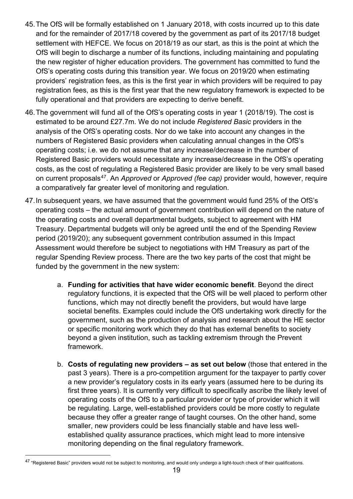- 45.The OfS will be formally established on 1 January 2018, with costs incurred up to this date and for the remainder of 2017/18 covered by the government as part of its 2017/18 budget settlement with HEFCE. We focus on 2018/19 as our start, as this is the point at which the OfS will begin to discharge a number of its functions, including maintaining and populating the new register of higher education providers. The government has committed to fund the OfS's operating costs during this transition year. We focus on 2019/20 when estimating providers' registration fees, as this is the first year in which providers will be required to pay registration fees, as this is the first year that the new regulatory framework is expected to be fully operational and that providers are expecting to derive benefit.
- 46.The government will fund all of the OfS's operating costs in year 1 (2018/19). The cost is estimated to be around £27.7m. We do not include *Registered Basic* providers in the analysis of the OfS's operating costs. Nor do we take into account any changes in the numbers of Registered Basic providers when calculating annual changes in the OfS's operating costs; i.e. we do not assume that any increase/decrease in the number of Registered Basic providers would necessitate any increase/decrease in the OfS's operating costs, as the cost of regulating a Registered Basic provider are likely to be very small based on current proposals[47](#page-18-0). An *Approved* or *Approved (fee cap)* provider would, however, require a comparatively far greater level of monitoring and regulation.
- 47.In subsequent years, we have assumed that the government would fund 25% of the OfS's operating costs – the actual amount of government contribution will depend on the nature of the operating costs and overall departmental budgets, subject to agreement with HM Treasury. Departmental budgets will only be agreed until the end of the Spending Review period (2019/20); any subsequent government contribution assumed in this Impact Assessment would therefore be subject to negotiations with HM Treasury as part of the regular Spending Review process. There are the two key parts of the cost that might be funded by the government in the new system:
	- a. **Funding for activities that have wider economic benefit**. Beyond the direct regulatory functions, it is expected that the OfS will be well placed to perform other functions, which may not directly benefit the providers, but would have large societal benefits. Examples could include the OfS undertaking work directly for the government, such as the production of analysis and research about the HE sector or specific monitoring work which they do that has external benefits to society beyond a given institution, such as tackling extremism through the Prevent framework.
	- b. **Costs of regulating new providers – as set out below** (those that entered in the past 3 years). There is a pro-competition argument for the taxpayer to partly cover a new provider's regulatory costs in its early years (assumed here to be during its first three years). It is currently very difficult to specifically ascribe the likely level of operating costs of the OfS to a particular provider or type of provider which it will be regulating. Large, well-established providers could be more costly to regulate because they offer a greater range of taught courses. On the other hand, some smaller, new providers could be less financially stable and have less wellestablished quality assurance practices, which might lead to more intensive monitoring depending on the final regulatory framework.

<span id="page-18-0"></span><sup>&</sup>lt;sup>47</sup> "Registered Basic" providers would not be subject to monitoring, and would only undergo a light-touch check of their qualifications.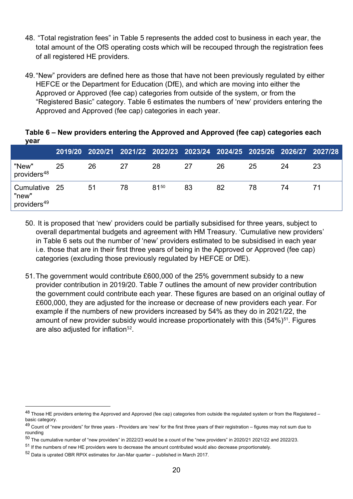- 48. "Total registration fees" in Table 5 represents the added cost to business in each year, the total amount of the OfS operating costs which will be recouped through the registration fees of all registered HE providers.
- 49."New" providers are defined here as those that have not been previously regulated by either HEFCE or the Department for Education (DfE), and which are moving into either the Approved or Approved (fee cap) categories from outside of the system, or from the "Registered Basic" category. Table 6 estimates the numbers of 'new' providers entering the Approved and Approved (fee cap) categories in each year.

**2019/20 2020/21 2021/22 2022/23 2023/24 2024/25 2025/26 2026/27 2027/28** "New" providers<sup>[48](#page-19-0)</sup> 25 26 27 28 27 26 25 24 23 Cumulative "new" providers<sup>[49](#page-19-1)</sup> 25 51 78 81[50](#page-19-2) 83 82 78 74 71

**Table 6 – New providers entering the Approved and Approved (fee cap) categories each year**

- 50. It is proposed that 'new' providers could be partially subsidised for three years, subject to overall departmental budgets and agreement with HM Treasury. 'Cumulative new providers' in Table 6 sets out the number of 'new' providers estimated to be subsidised in each year i.e. those that are in their first three years of being in the Approved or Approved (fee cap) categories (excluding those previously regulated by HEFCE or DfE).
- 51.The government would contribute £600,000 of the 25% government subsidy to a new provider contribution in 2019/20. Table 7 outlines the amount of new provider contribution the government could contribute each year. These figures are based on an original outlay of £600,000, they are adjusted for the increase or decrease of new providers each year. For example if the numbers of new providers increased by 54% as they do in 2021/22, the amount of new provider subsidy would increase proportionately with this  $(54\%)^{51}$  $(54\%)^{51}$  $(54\%)^{51}$ . Figures are also adjusted for inflation<sup>[52](#page-19-4)</sup>.

<span id="page-19-0"></span><sup>48</sup> Those HE providers entering the Approved and Approved (fee cap) categories from outside the regulated system or from the Registered basic category.

<span id="page-19-1"></span><sup>&</sup>lt;sup>49</sup> Count of "new providers" for three years - Providers are 'new' for the first three years of their registration – figures may not sum due to rounding

<span id="page-19-2"></span><sup>50</sup> The cumulative number of "new providers" in 2022/23 would be a count of the "new providers" in 2020/21 2021/22 and 2022/23.

<span id="page-19-3"></span><sup>51</sup> If the numbers of new HE providers were to decrease the amount contributed would also decrease proportionately.

<span id="page-19-4"></span> $52$  Data is uprated OBR RPIX estimates for Jan-Mar quarter – published in March 2017.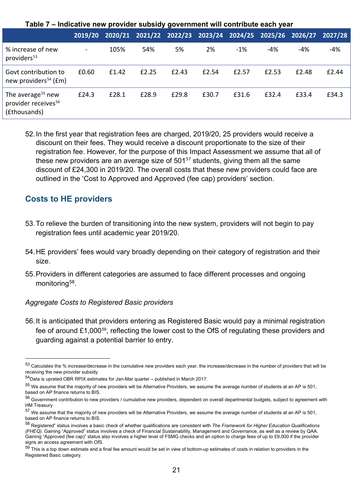|                                                                                  | 2019/20                  |       | 2020/21 2021/22 2022/23 2023/24 2024/25 2025/26 2026/27 |       |       |       |       |       | 2027/28 |
|----------------------------------------------------------------------------------|--------------------------|-------|---------------------------------------------------------|-------|-------|-------|-------|-------|---------|
| % increase of new<br>providers <sup>53</sup>                                     | $\overline{\phantom{a}}$ | 105%  | 54%                                                     | 5%    | 2%    | $-1%$ | -4%   | -4%   | $-4%$   |
| Govt contribution to<br>new providers <sup>54</sup> ( $Em$ )                     | £0.60                    | £1.42 | £2.25                                                   | £2.43 | £2.54 | £2.57 | £2.53 | £2.48 | £2.44   |
| The average <sup>55</sup> new<br>provider receives <sup>56</sup><br>(£thousands) | £24.3                    | £28.1 | £28.9                                                   | £29.8 | £30.7 | £31.6 | £32.4 | £33.4 | £34.3   |

**Table 7 – Indicative new provider subsidy government will contribute each year**

52.In the first year that registration fees are charged, 2019/20, 25 providers would receive a discount on their fees. They would receive a discount proportionate to the size of their registration fee. However, for the purpose of this Impact Assessment we assume that all of these new providers are an average size of 501[57](#page-20-4) students, giving them all the same discount of £24,300 in 2019/20. The overall costs that these new providers could face are outlined in the 'Cost to Approved and Approved (fee cap) providers' section.

#### **Costs to HE providers**

- 53.To relieve the burden of transitioning into the new system, providers will not begin to pay registration fees until academic year 2019/20.
- 54.HE providers' fees would vary broadly depending on their category of registration and their size.
- 55.Providers in different categories are assumed to face different processes and ongoing monitoring<sup>58</sup>.

#### *Aggregate Costs to Registered Basic providers*

56.It is anticipated that providers entering as Registered Basic would pay a minimal registration fee of around £1,000[59,](#page-20-6) reflecting the lower cost to the OfS of regulating these providers and guarding against a potential barrier to entry.

<span id="page-20-0"></span> <sup>53</sup> Calculates the % increase/decrease in the cumulative new providers each year, the increase/decrease in the number of providers that will be receiving the new provider subsidy

<span id="page-20-1"></span><sup>54</sup>Data is uprated OBR RPIX estimates for Jan-Mar quarter – published in March 2017.

<span id="page-20-2"></span><sup>55</sup> We assume that the majority of new providers will be Alternative Providers, we assume the average number of students at an AP is 501, based on AP finance returns to BIS.

<span id="page-20-3"></span><sup>56</sup> Government contribution to new providers / cumulative new providers, dependent on overall departmental budgets, subject to agreement with HM Treasury

<span id="page-20-4"></span><sup>&</sup>lt;sup>57</sup> We assume that the majority of new providers will be Alternative Providers, we assume the average number of students at an AP is 501, based on AP finance returns to BIS.

<span id="page-20-5"></span><sup>58</sup> Registered" status involves a basic check of whether qualifications are consistent with *The Framework for Higher Education Qualifications (FHEQ)*. Gaining "Approved" status involves a check of Financial Sustainability, Management and Governance, as well as a review by QAA. Gaining "Approved (fee cap)" status also involves a higher level of FSMG checks and an option to charge fees of up to £9,000 if the provider signs an access agreement with OfS.

<span id="page-20-6"></span> $59$  This is a top down estimate and a final fee amount would be set in view of bottom-up estimates of costs in relation to providers in the Registered Basic category.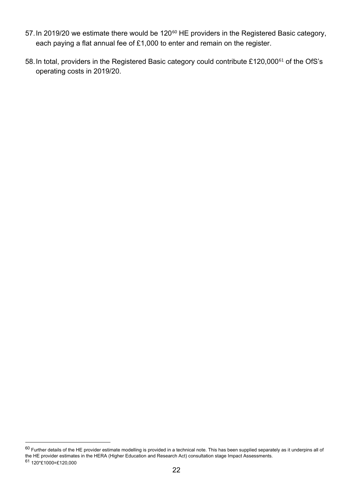- 57. In 2019/20 we estimate there would be 120<sup>[60](#page-21-0)</sup> HE providers in the Registered Basic category, each paying a flat annual fee of £1,000 to enter and remain on the register.
- 58. In total, providers in the Registered Basic category could contribute £120,000<sup>[61](#page-21-1)</sup> of the OfS's operating costs in 2019/20.

<span id="page-21-0"></span> $\rm ^{60}$  Further details of the HE provider estimate modelling is provided in a technical note. This has been supplied separately as it underpins all of the HE provider estimates in the HERA (Higher Education and Research Act) consultation stage Impact Assessments.

<span id="page-21-1"></span><sup>61</sup> 120\*£1000=£120,000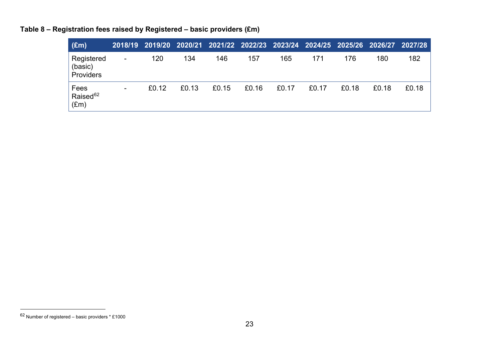<span id="page-22-0"></span>

| $(\text{Em})$                                 |                          |       |       | 2018/19 2019/20 2020/21 2021/22 2022/23 2023/24 2024/25 2025/26 2026/27 2027/28 |       |       |       |       |       |       |
|-----------------------------------------------|--------------------------|-------|-------|---------------------------------------------------------------------------------|-------|-------|-------|-------|-------|-------|
| Registered<br>(basic)<br>Providers            | $\overline{\phantom{a}}$ | 120   | 134   | 146                                                                             | 157   | 165   | 171   | 176   | 180   | 182   |
| Fees<br>Raised <sup>62</sup><br>$(\text{Em})$ | ۰.                       | £0.12 | £0.13 | £0.15                                                                           | £0.16 | £0.17 | £0.17 | £0.18 | £0.18 | £0.18 |

**Table 8 – Registration fees raised by Registered – basic providers (£m)**

 $62$  Number of registered – basic providers  $*$  £1000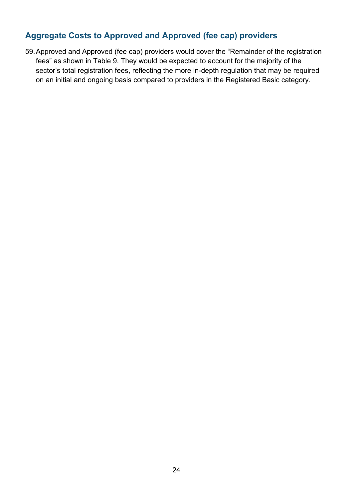## **Aggregate Costs to Approved and Approved (fee cap) providers**

59.Approved and Approved (fee cap) providers would cover the "Remainder of the registration fees" as shown in Table 9. They would be expected to account for the majority of the sector's total registration fees, reflecting the more in-depth regulation that may be required on an initial and ongoing basis compared to providers in the Registered Basic category.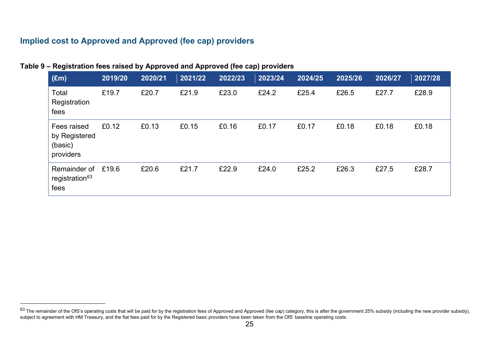## **Implied cost to Approved and Approved (fee cap) providers**

|  | Table 9 – Registration fees raised by Approved and Approved (fee cap) providers |  |  |
|--|---------------------------------------------------------------------------------|--|--|
|--|---------------------------------------------------------------------------------|--|--|

<span id="page-24-0"></span>

| (Em)                                                 | 2019/20 | 2020/21 | 2021/22 | 2022/23 | 2023/24 | 2024/25 | 2025/26 | 2026/27 | 2027/28 |
|------------------------------------------------------|---------|---------|---------|---------|---------|---------|---------|---------|---------|
| Total<br>Registration<br>fees                        | £19.7   | £20.7   | £21.9   | £23.0   | £24.2   | £25.4   | £26.5   | £27.7   | £28.9   |
| Fees raised<br>by Registered<br>(basic)<br>providers | £0.12   | £0.13   | £0.15   | £0.16   | £0.17   | £0.17   | £0.18   | £0.18   | £0.18   |
| Remainder of<br>registration <sup>63</sup><br>fees   | £19.6   | £20.6   | £21.7   | £22.9   | £24.0   | £25.2   | £26.3   | £27.5   | £28.7   |

 $^{63}$  The remainder of the OfS's operating costs that will be paid for by the registration fees of Approved and Approved (fee cap) category, this is after the government 25% subsidy (including the new provider subsidy), subject to agreement with HM Treasury, and the flat fees paid for by the Registered basic providers have been taken from the OfS' baseline operating costs.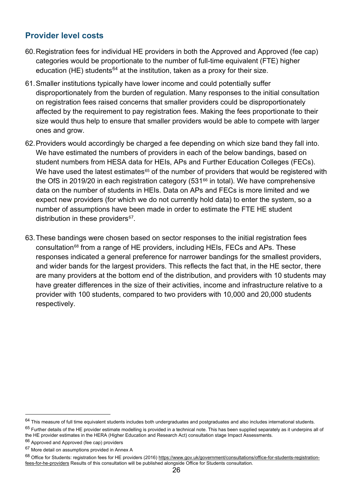#### **Provider level costs**

- 60.Registration fees for individual HE providers in both the Approved and Approved (fee cap) categories would be proportionate to the number of full-time equivalent (FTE) higher education (HE) students<sup>[64](#page-25-0)</sup> at the institution, taken as a proxy for their size.
- 61.Smaller institutions typically have lower income and could potentially suffer disproportionately from the burden of regulation. Many responses to the initial consultation on registration fees raised concerns that smaller providers could be disproportionately affected by the requirement to pay registration fees. Making the fees proportionate to their size would thus help to ensure that smaller providers would be able to compete with larger ones and grow.
- 62.Providers would accordingly be charged a fee depending on which size band they fall into. We have estimated the numbers of providers in each of the below bandings, based on student numbers from HESA data for HEIs, APs and Further Education Colleges (FECs). We have used the latest estimates $65$  of the number of providers that would be registered with the OfS in 2019/20 in each registration category  $(531<sup>66</sup>$  $(531<sup>66</sup>$  $(531<sup>66</sup>$  in total). We have comprehensive data on the number of students in HEIs. Data on APs and FECs is more limited and we expect new providers (for which we do not currently hold data) to enter the system, so a number of assumptions have been made in order to estimate the FTE HE student distribution in these providers<sup>[67](#page-25-3)</sup>.
- 63.These bandings were chosen based on sector responses to the initial registration fees consultation[68](#page-25-4) from a range of HE providers, including HEIs, FECs and APs. These responses indicated a general preference for narrower bandings for the smallest providers, and wider bands for the largest providers. This reflects the fact that, in the HE sector, there are many providers at the bottom end of the distribution, and providers with 10 students may have greater differences in the size of their activities, income and infrastructure relative to a provider with 100 students, compared to two providers with 10,000 and 20,000 students respectively.

<span id="page-25-0"></span> $64$  This measure of full time equivalent students includes both undergraduates and postgraduates and also includes international students.

<span id="page-25-1"></span> $65$  Further details of the HE provider estimate modelling is provided in a technical note. This has been supplied separately as it underpins all of the HE provider estimates in the HERA (Higher Education and Research Act) consultation stage Impact Assessments.

<span id="page-25-2"></span><sup>&</sup>lt;sup>66</sup> Approved and Approved (fee cap) providers

<span id="page-25-3"></span><sup>67</sup> More detail on assumptions provided in Annex A

<span id="page-25-4"></span><sup>&</sup>lt;sup>68</sup> Office for Students: registration fees for HE providers (2016) [https://www.gov.uk/government/consultations/office-for-students-registration](https://www.gov.uk/government/consultations/office-for-students-registration-fees-for-he-providers)[fees-for-he-providers](https://www.gov.uk/government/consultations/office-for-students-registration-fees-for-he-providers) Results of this consultation will be published alongside Office for Students consultation.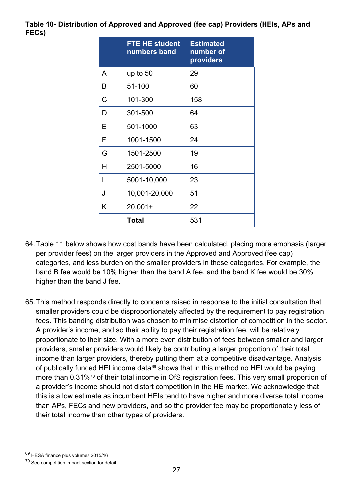#### **Table 10- Distribution of Approved and Approved (fee cap) Providers (HEIs, APs and FECs)**

|   | <b>FTE HE student</b><br>numbers band | <b>Estimated</b><br>number of<br>providers |
|---|---------------------------------------|--------------------------------------------|
| A | up to $50$                            | 29                                         |
| B | 51-100                                | 60                                         |
| C | 101-300                               | 158                                        |
| D | 301-500                               | 64                                         |
| E | 501-1000                              | 63                                         |
| F | 1001-1500                             | 24                                         |
| G | 1501-2500                             | 19                                         |
| Н | 2501-5000                             | 16                                         |
| I | 5001-10,000                           | 23                                         |
| J | 10,001-20,000                         | 51                                         |
| K | $20,001+$                             | 22                                         |
|   | Total                                 | 531                                        |

- 64.Table 11 below shows how cost bands have been calculated, placing more emphasis (larger per provider fees) on the larger providers in the Approved and Approved (fee cap) categories, and less burden on the smaller providers in these categories. For example, the band B fee would be 10% higher than the band A fee, and the band K fee would be 30% higher than the band J fee.
- 65.This method responds directly to concerns raised in response to the initial consultation that smaller providers could be disproportionately affected by the requirement to pay registration fees. This banding distribution was chosen to minimise distortion of competition in the sector. A provider's income, and so their ability to pay their registration fee, will be relatively proportionate to their size. With a more even distribution of fees between smaller and larger providers, smaller providers would likely be contributing a larger proportion of their total income than larger providers, thereby putting them at a competitive disadvantage. Analysis of publically funded HEI income data<sup>[69](#page-26-0)</sup> shows that in this method no HEI would be paying more than 0.31%<sup>[70](#page-26-1)</sup> of their total income in OfS registration fees. This very small proportion of a provider's income should not distort competition in the HE market. We acknowledge that this is a low estimate as incumbent HEIs tend to have higher and more diverse total income than APs, FECs and new providers, and so the provider fee may be proportionately less of their total income than other types of providers.

<span id="page-26-0"></span> <sup>69</sup> HESA finance plus volumes 2015/16

<span id="page-26-1"></span><sup>70</sup> See competition impact section for detail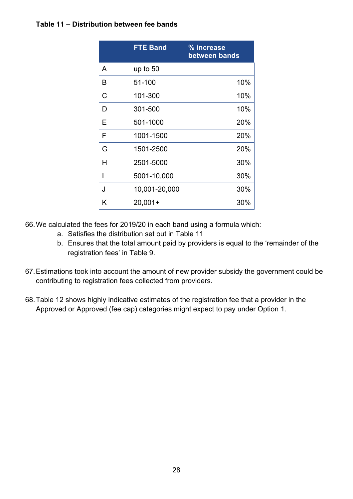#### **Table 11 – Distribution between fee bands**

|   | <b>FTE Band</b> | % increase<br>between bands |
|---|-----------------|-----------------------------|
| A | up to 50        |                             |
| B | 51-100          | 10%                         |
| С | 101-300         | 10%                         |
| D | 301-500         | 10%                         |
| E | 501-1000        | 20%                         |
| F | 1001-1500       | 20%                         |
| G | 1501-2500       | 20%                         |
| н | 2501-5000       | 30%                         |
| I | 5001-10,000     | 30%                         |
| J | 10,001-20,000   | 30%                         |
| K | $20,001+$       | 30%                         |

66.We calculated the fees for 2019/20 in each band using a formula which:

- a. Satisfies the distribution set out in Table 11
- b. Ensures that the total amount paid by providers is equal to the 'remainder of the registration fees' in Table 9.
- 67.Estimations took into account the amount of new provider subsidy the government could be contributing to registration fees collected from providers.
- 68.Table 12 shows highly indicative estimates of the registration fee that a provider in the Approved or Approved (fee cap) categories might expect to pay under Option 1.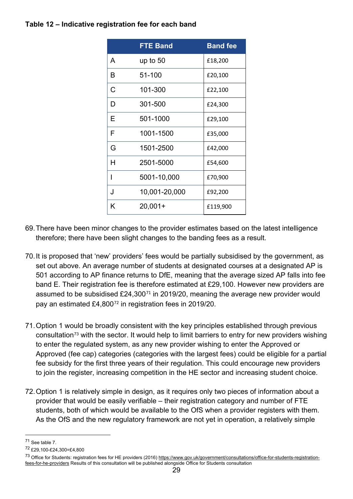#### **Table 12 – Indicative registration fee for each band**

|   | <b>FTE Band</b> | <b>Band fee</b> |
|---|-----------------|-----------------|
| A | up to $50$      | £18,200         |
| B | 51-100          | £20,100         |
| С | 101-300         | £22,100         |
| D | 301-500         | £24,300         |
| Е | 501-1000        | £29,100         |
| F | 1001-1500       | £35,000         |
| G | 1501-2500       | £42,000         |
| Н | 2501-5000       | £54,600         |
| I | 5001-10,000     | £70,900         |
| J | 10,001-20,000   | £92,200         |
| K | $20,001+$       | £119,900        |

- 69.There have been minor changes to the provider estimates based on the latest intelligence therefore; there have been slight changes to the banding fees as a result.
- 70.It is proposed that 'new' providers' fees would be partially subsidised by the government, as set out above. An average number of students at designated courses at a designated AP is 501 according to AP finance returns to DfE, meaning that the average sized AP falls into fee band E. Their registration fee is therefore estimated at £29,100. However new providers are assumed to be subsidised  $£24,300<sup>71</sup>$  $£24,300<sup>71</sup>$  $£24,300<sup>71</sup>$  in 2019/20, meaning the average new provider would pay an estimated £4,800[72](#page-28-1) in registration fees in 2019/20.
- 71.Option 1 would be broadly consistent with the key principles established through previous consultation<sup>[73](#page-28-2)</sup> with the sector. It would help to limit barriers to entry for new providers wishing to enter the regulated system, as any new provider wishing to enter the Approved or Approved (fee cap) categories (categories with the largest fees) could be eligible for a partial fee subsidy for the first three years of their regulation. This could encourage new providers to join the register, increasing competition in the HE sector and increasing student choice.
- 72.Option 1 is relatively simple in design, as it requires only two pieces of information about a provider that would be easily verifiable – their registration category and number of FTE students, both of which would be available to the OfS when a provider registers with them. As the OfS and the new regulatory framework are not yet in operation, a relatively simple

<span id="page-28-0"></span> <sup>71</sup> See table 7.

<span id="page-28-1"></span><sup>72</sup> £29,100-£24,300=£4,800

<span id="page-28-2"></span><sup>73</sup> Office for Students: registration fees for HE providers (2016) [https://www.gov.uk/government/consultations/office-for-students-registration](https://www.gov.uk/government/consultations/office-for-students-registration-fees-for-he-providers)[fees-for-he-providers](https://www.gov.uk/government/consultations/office-for-students-registration-fees-for-he-providers) Results of this consultation will be published alongside Office for Students consultation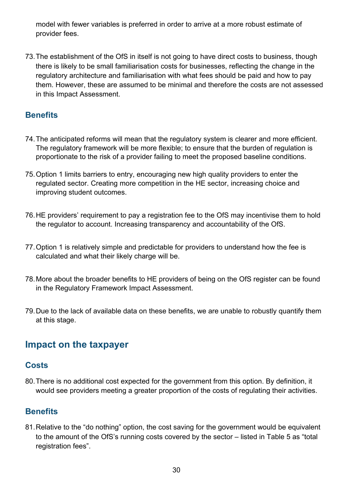model with fewer variables is preferred in order to arrive at a more robust estimate of provider fees.

73.The establishment of the OfS in itself is not going to have direct costs to business, though there is likely to be small familiarisation costs for businesses, reflecting the change in the regulatory architecture and familiarisation with what fees should be paid and how to pay them. However, these are assumed to be minimal and therefore the costs are not assessed in this Impact Assessment.

## **Benefits**

- 74.The anticipated reforms will mean that the regulatory system is clearer and more efficient. The regulatory framework will be more flexible; to ensure that the burden of regulation is proportionate to the risk of a provider failing to meet the proposed baseline conditions.
- 75.Option 1 limits barriers to entry, encouraging new high quality providers to enter the regulated sector. Creating more competition in the HE sector, increasing choice and improving student outcomes.
- 76.HE providers' requirement to pay a registration fee to the OfS may incentivise them to hold the regulator to account. Increasing transparency and accountability of the OfS.
- 77.Option 1 is relatively simple and predictable for providers to understand how the fee is calculated and what their likely charge will be.
- 78.More about the broader benefits to HE providers of being on the OfS register can be found in the Regulatory Framework Impact Assessment.
- 79.Due to the lack of available data on these benefits, we are unable to robustly quantify them at this stage.

## <span id="page-29-0"></span>**Impact on the taxpayer**

#### **Costs**

80.There is no additional cost expected for the government from this option. By definition, it would see providers meeting a greater proportion of the costs of regulating their activities.

#### **Benefits**

81.Relative to the "do nothing" option, the cost saving for the government would be equivalent to the amount of the OfS's running costs covered by the sector – listed in Table 5 as "total registration fees".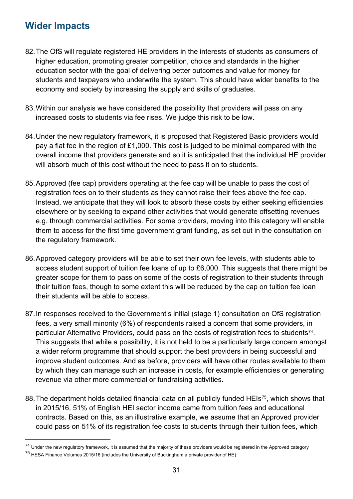## <span id="page-30-0"></span>**Wider Impacts**

- 82.The OfS will regulate registered HE providers in the interests of students as consumers of higher education, promoting greater competition, choice and standards in the higher education sector with the goal of delivering better outcomes and value for money for students and taxpayers who underwrite the system. This should have wider benefits to the economy and society by increasing the supply and skills of graduates.
- 83.Within our analysis we have considered the possibility that providers will pass on any increased costs to students via fee rises. We judge this risk to be low.
- 84.Under the new regulatory framework, it is proposed that Registered Basic providers would pay a flat fee in the region of £1,000. This cost is judged to be minimal compared with the overall income that providers generate and so it is anticipated that the individual HE provider will absorb much of this cost without the need to pass it on to students.
- 85.Approved (fee cap) providers operating at the fee cap will be unable to pass the cost of registration fees on to their students as they cannot raise their fees above the fee cap. Instead, we anticipate that they will look to absorb these costs by either seeking efficiencies elsewhere or by seeking to expand other activities that would generate offsetting revenues e.g. through commercial activities. For some providers, moving into this category will enable them to access for the first time government grant funding, as set out in the consultation on the regulatory framework.
- 86.Approved category providers will be able to set their own fee levels, with students able to access student support of tuition fee loans of up to £6,000. This suggests that there might be greater scope for them to pass on some of the costs of registration to their students through their tuition fees, though to some extent this will be reduced by the cap on tuition fee loan their students will be able to access.
- 87.In responses received to the Government's initial (stage 1) consultation on OfS registration fees, a very small minority (6%) of respondents raised a concern that some providers, in particular Alternative Providers, could pass on the costs of registration fees to students<sup>[74](#page-30-1)</sup>. This suggests that while a possibility, it is not held to be a particularly large concern amongst a wider reform programme that should support the best providers in being successful and improve student outcomes. And as before, providers will have other routes available to them by which they can manage such an increase in costs, for example efficiencies or generating revenue via other more commercial or fundraising activities.
- 88. The department holds detailed financial data on all publicly funded HEIs<sup>75</sup>, which shows that in 2015/16, 51% of English HEI sector income came from tuition fees and educational contracts. Based on this, as an illustrative example, we assume that an Approved provider could pass on 51% of its registration fee costs to students through their tuition fees, which

<span id="page-30-2"></span><span id="page-30-1"></span><sup>&</sup>lt;sup>74</sup> Under the new regulatory framework, it is assumed that the majority of these providers would be registered in the Approved category <sup>75</sup> HESA Finance Volumes 2015/16 (includes the University of Buckingham a private provider of HE)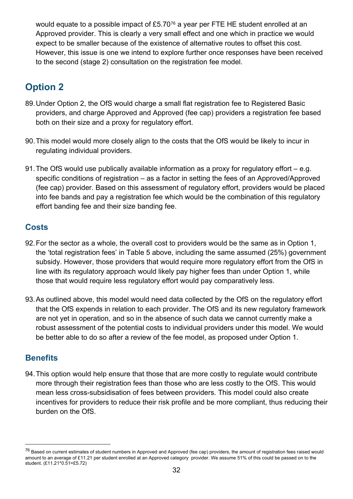would equate to a possible impact of £5.70[76](#page-31-1) a year per FTE HE student enrolled at an Approved provider. This is clearly a very small effect and one which in practice we would expect to be smaller because of the existence of alternative routes to offset this cost. However, this issue is one we intend to explore further once responses have been received to the second (stage 2) consultation on the registration fee model.

## <span id="page-31-0"></span>**Option 2**

- 89.Under Option 2, the OfS would charge a small flat registration fee to Registered Basic providers, and charge Approved and Approved (fee cap) providers a registration fee based both on their size and a proxy for regulatory effort.
- 90.This model would more closely align to the costs that the OfS would be likely to incur in regulating individual providers.
- 91.The OfS would use publically available information as a proxy for regulatory effort e.g. specific conditions of registration – as a factor in setting the fees of an Approved/Approved (fee cap) provider. Based on this assessment of regulatory effort, providers would be placed into fee bands and pay a registration fee which would be the combination of this regulatory effort banding fee and their size banding fee.

### **Costs**

- 92.For the sector as a whole, the overall cost to providers would be the same as in Option 1, the 'total registration fees' in Table 5 above, including the same assumed (25%) government subsidy. However, those providers that would require more regulatory effort from the OfS in line with its regulatory approach would likely pay higher fees than under Option 1, while those that would require less regulatory effort would pay comparatively less.
- 93.As outlined above, this model would need data collected by the OfS on the regulatory effort that the OfS expends in relation to each provider. The OfS and its new regulatory framework are not yet in operation, and so in the absence of such data we cannot currently make a robust assessment of the potential costs to individual providers under this model. We would be better able to do so after a review of the fee model, as proposed under Option 1.

#### **Benefits**

94.This option would help ensure that those that are more costly to regulate would contribute more through their registration fees than those who are less costly to the OfS. This would mean less cross-subsidisation of fees between providers. This model could also create incentives for providers to reduce their risk profile and be more compliant, thus reducing their burden on the OfS.

<span id="page-31-1"></span><sup>&</sup>lt;sup>76</sup> Based on current estimates of student numbers in Approved and Approved (fee cap) providers, the amount of registration fees raised would amount to an average of £11.21 per student enrolled at an Approved category provider. We assume 51% of this could be passed on to the student. (£11.21\*0.51=£5.72)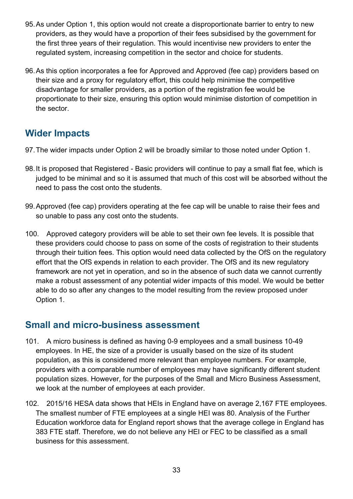- 95.As under Option 1, this option would not create a disproportionate barrier to entry to new providers, as they would have a proportion of their fees subsidised by the government for the first three years of their regulation. This would incentivise new providers to enter the regulated system, increasing competition in the sector and choice for students.
- 96.As this option incorporates a fee for Approved and Approved (fee cap) providers based on their size and a proxy for regulatory effort, this could help minimise the competitive disadvantage for smaller providers, as a portion of the registration fee would be proportionate to their size, ensuring this option would minimise distortion of competition in the sector.

## <span id="page-32-0"></span>**Wider Impacts**

- 97.The wider impacts under Option 2 will be broadly similar to those noted under Option 1.
- 98.It is proposed that Registered Basic providers will continue to pay a small flat fee, which is judged to be minimal and so it is assumed that much of this cost will be absorbed without the need to pass the cost onto the students.
- 99.Approved (fee cap) providers operating at the fee cap will be unable to raise their fees and so unable to pass any cost onto the students.
- 100. Approved category providers will be able to set their own fee levels. It is possible that these providers could choose to pass on some of the costs of registration to their students through their tuition fees. This option would need data collected by the OfS on the regulatory effort that the OfS expends in relation to each provider. The OfS and its new regulatory framework are not yet in operation, and so in the absence of such data we cannot currently make a robust assessment of any potential wider impacts of this model. We would be better able to do so after any changes to the model resulting from the review proposed under Option 1.

## <span id="page-32-1"></span>**Small and micro-business assessment**

- 101. A micro business is defined as having 0-9 employees and a small business 10-49 employees. In HE, the size of a provider is usually based on the size of its student population, as this is considered more relevant than employee numbers. For example, providers with a comparable number of employees may have significantly different student population sizes. However, for the purposes of the Small and Micro Business Assessment, we look at the number of employees at each provider.
- 102. 2015/16 HESA data shows that HEIs in England have on average 2,167 FTE employees. The smallest number of FTE employees at a single HEI was 80. Analysis of the Further Education workforce data for England report shows that the average college in England has 383 FTE staff. Therefore, we do not believe any HEI or FEC to be classified as a small business for this assessment.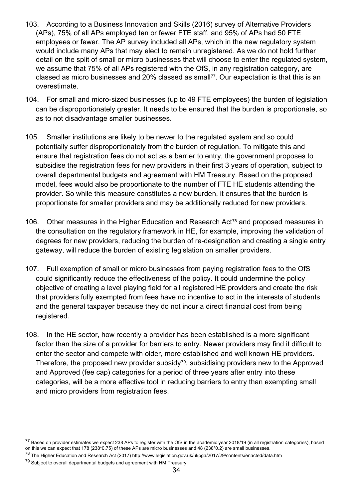- 103. According to a Business Innovation and Skills (2016) survey of Alternative Providers (APs), 75% of all APs employed ten or fewer FTE staff, and 95% of APs had 50 FTE employees or fewer. The AP survey included all APs, which in the new regulatory system would include many APs that may elect to remain unregistered. As we do not hold further detail on the split of small or micro businesses that will choose to enter the regulated system, we assume that 75% of all APs registered with the OfS, in any registration category, are classed as micro businesses and 20% classed as small<sup>77</sup>. Our expectation is that this is an overestimate.
- 104. For small and micro-sized businesses (up to 49 FTE employees) the burden of legislation can be disproportionately greater. It needs to be ensured that the burden is proportionate, so as to not disadvantage smaller businesses.
- 105. Smaller institutions are likely to be newer to the regulated system and so could potentially suffer disproportionately from the burden of regulation. To mitigate this and ensure that registration fees do not act as a barrier to entry, the government proposes to subsidise the registration fees for new providers in their first 3 years of operation, subject to overall departmental budgets and agreement with HM Treasury. Based on the proposed model, fees would also be proportionate to the number of FTE HE students attending the provider. So while this measure constitutes a new burden, it ensures that the burden is proportionate for smaller providers and may be additionally reduced for new providers.
- 106. Other measures in the Higher Education and Research Act<sup>[78](#page-33-1)</sup> and proposed measures in the consultation on the regulatory framework in HE, for example, improving the validation of degrees for new providers, reducing the burden of re-designation and creating a single entry gateway, will reduce the burden of existing legislation on smaller providers.
- 107. Full exemption of small or micro businesses from paying registration fees to the OfS could significantly reduce the effectiveness of the policy. It could undermine the policy objective of creating a level playing field for all registered HE providers and create the risk that providers fully exempted from fees have no incentive to act in the interests of students and the general taxpayer because they do not incur a direct financial cost from being registered.
- 108. In the HE sector, how recently a provider has been established is a more significant factor than the size of a provider for barriers to entry. Newer providers may find it difficult to enter the sector and compete with older, more established and well known HE providers. Therefore, the proposed new provider subsidy<sup>79</sup>, subsidising providers new to the Approved and Approved (fee cap) categories for a period of three years after entry into these categories, will be a more effective tool in reducing barriers to entry than exempting small and micro providers from registration fees.

<span id="page-33-0"></span><sup>&</sup>lt;sup>77</sup> Based on provider estimates we expect 238 APs to register with the OfS in the academic year 2018/19 (in all registration categories), based on this we can expect that 178 (238\*0.75) of these APs are micro businesses and 48 (238\*0.2) are small businesses.

<span id="page-33-1"></span><sup>&</sup>lt;sup>78</sup> The Higher Education and Research Act (2017)<http://www.legislation.gov.uk/ukpga/2017/29/contents/enacted/data.htm>

<span id="page-33-2"></span> $79$  Subject to overall departmental budgets and agreement with HM Treasury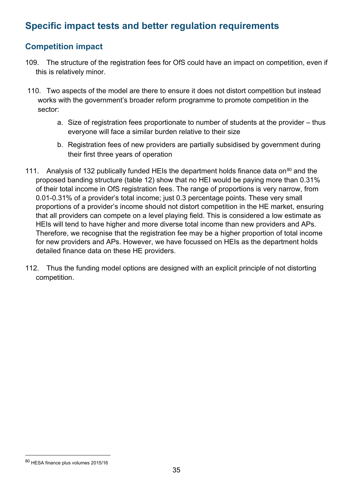## <span id="page-34-0"></span>**Specific impact tests and better regulation requirements**

## **Competition impact**

- 109. The structure of the registration fees for OfS could have an impact on competition, even if this is relatively minor.
- 110. Two aspects of the model are there to ensure it does not distort competition but instead works with the government's broader reform programme to promote competition in the sector:
	- a. Size of registration fees proportionate to number of students at the provider thus everyone will face a similar burden relative to their size
	- b. Registration fees of new providers are partially subsidised by government during their first three years of operation
- 111. Analysis of 132 publically funded HEIs the department holds finance data on<sup>[80](#page-34-1)</sup> and the proposed banding structure (table 12) show that no HEI would be paying more than 0.31% of their total income in OfS registration fees. The range of proportions is very narrow, from 0.01-0.31% of a provider's total income; just 0.3 percentage points. These very small proportions of a provider's income should not distort competition in the HE market, ensuring that all providers can compete on a level playing field. This is considered a low estimate as HEIs will tend to have higher and more diverse total income than new providers and APs. Therefore, we recognise that the registration fee may be a higher proportion of total income for new providers and APs. However, we have focussed on HEIs as the department holds detailed finance data on these HE providers.
- 112. Thus the funding model options are designed with an explicit principle of not distorting competition.

<span id="page-34-1"></span> <sup>80</sup> HESA finance plus volumes 2015/16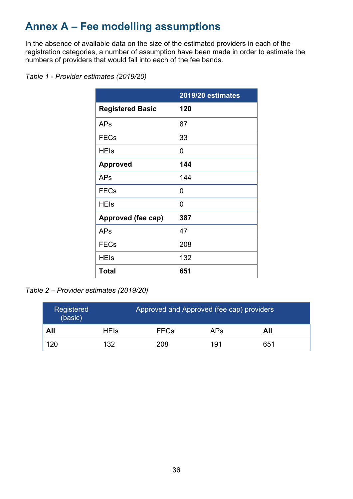# <span id="page-35-0"></span>**Annex A – Fee modelling assumptions**

In the absence of available data on the size of the estimated providers in each of the registration categories, a number of assumption have been made in order to estimate the numbers of providers that would fall into each of the fee bands.

|                         | 2019/20 estimates |
|-------------------------|-------------------|
| <b>Registered Basic</b> | 120               |
| <b>APs</b>              | 87                |
| <b>FECs</b>             | 33                |
| <b>HEIs</b>             | 0                 |
| <b>Approved</b>         | 144               |
| APs                     | 144               |
| <b>FECs</b>             | 0                 |
| <b>HEIs</b>             | 0                 |
| Approved (fee cap)      | 387               |
| <b>APs</b>              | 47                |
| <b>FECs</b>             | 208               |
| <b>HEIs</b>             | 132               |
| <b>Total</b>            | 651               |

#### *Table 1 - Provider estimates (2019/20)*

*Table 2 – Provider estimates (2019/20)*

| Registered<br>(basic) |             | Approved and Approved (fee cap) providers |            |     |
|-----------------------|-------------|-------------------------------------------|------------|-----|
| All                   | <b>HEIs</b> | <b>FECs</b>                               | <b>APs</b> | All |
| 120                   | 132         | 208                                       | 191        | 651 |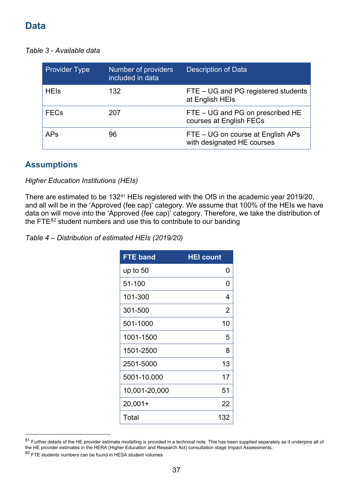## <span id="page-36-0"></span>**Data**

*Table 3 - Available data*

| <b>Provider Type</b> | Number of providers<br>included in data | <b>Description of Data</b>                                      |
|----------------------|-----------------------------------------|-----------------------------------------------------------------|
| <b>HEIs</b>          | 132                                     | FTE – UG and PG registered students<br>at English HEIs          |
| <b>FECs</b>          | 207                                     | FTE – UG and PG on prescribed HE<br>courses at English FECs     |
| <b>APs</b>           | 96                                      | FTE – UG on course at English APs<br>with designated HE courses |

#### **Assumptions**

*Higher Education Institutions (HEIs)*

There are estimated to be 132<sup>[81](#page-36-1)</sup> HEIs registered with the OfS in the academic year 2019/20, and all will be in the 'Approved (fee cap)' category. We assume that 100% of the HEIs we have data on will move into the 'Approved (fee cap)' category. Therefore, we take the distribution of the FTE $^{82}$  $^{82}$  $^{82}$  student numbers and use this to contribute to our banding

*Table 4 – Distribution of estimated HEIs (2019/20)*

| <b>FTE band</b> | <b>HEI count</b> |
|-----------------|------------------|
| up to $50$      | O                |
| 51-100          | ŋ                |
| 101-300         | 4                |
| 301-500         | 2                |
| 501-1000        | 10               |
| 1001-1500       | 5                |
| 1501-2500       | 8                |
| 2501-5000       | 13               |
| 5001-10,000     | 17               |
| 10,001-20,000   | 51               |
| $20,001+$       | 22               |
| Total           | 132              |

<span id="page-36-2"></span><span id="page-36-1"></span> $81$  Further details of the HE provider estimate modelling is provided in a technical note. This has been supplied separately as it underpins all of the HE provider estimates in the HERA (Higher Education and Research Act) consultation stage Impact Assessments. <sup>82</sup> FTE students numbers can be found in HESA student volumes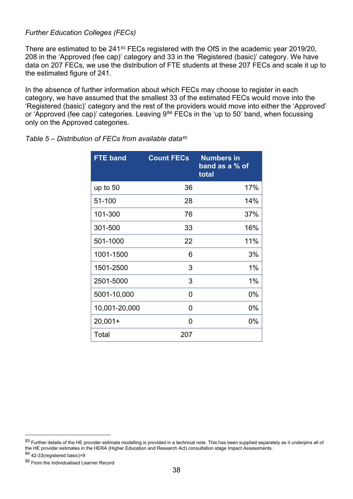#### *Further Education Colleges (FECs)*

There are estimated to be 241<sup>[83](#page-37-0)</sup> FECs registered with the OfS in the academic year 2019/20. 208 in the 'Approved (fee cap)' category and 33 in the 'Registered (basic)' category. We have data on 207 FECs, we use the distribution of FTE students at these 207 FECs and scale it up to the estimated figure of 241.

In the absence of further information about which FECs may choose to register in each category, we have assumed that the smallest 33 of the estimated FECs would move into the 'Registered (basic)' category and the rest of the providers would move into either the 'Approved' or 'Approved (fee cap)' categories. Leaving 9<sup>[84](#page-37-1)</sup> FECs in the 'up to 50' band, when focussing only on the Approved categories.

| <b>FTE band</b> | <b>Count FECs</b> | <b>Numbers in</b><br>band as a % of<br>total |
|-----------------|-------------------|----------------------------------------------|
| up to 50        | 36                | 17%                                          |
| 51-100          | 28                | 14%                                          |
| 101-300         | 76                | 37%                                          |
| 301-500         | 33                | 16%                                          |
| 501-1000        | 22                | 11%                                          |
| 1001-1500       | 6                 | 3%                                           |
| 1501-2500       | 3                 | 1%                                           |
| 2501-5000       | 3                 | 1%                                           |
| 5001-10,000     | 0                 | $0\%$                                        |
| 10,001-20,000   | 0                 | $0\%$                                        |
| $20,001+$       | 0                 | $0\%$                                        |
| Total           | 207               |                                              |

*Table 5 – Distribution of FECs from available data[85](#page-37-2)*

<span id="page-37-0"></span> $83$  Further details of the HE provider estimate modelling is provided in a technical note. This has been supplied separately as it underpins all of the HE provider estimates in the HERA (Higher Education and Research Act) consultation stage Impact Assessments.  $84$  42-33(registered basic)=9

<span id="page-37-2"></span><span id="page-37-1"></span><sup>85</sup> From the Individualised Learner Record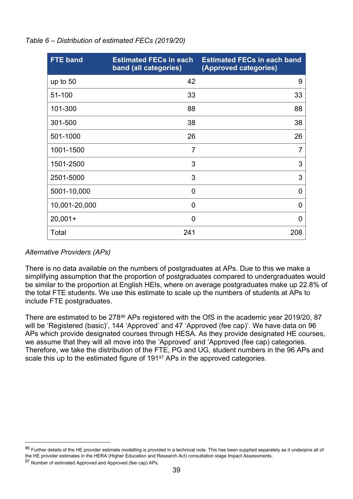| <b>FTE</b> band | <b>Estimated FECs in each</b><br>band (all categories) | <b>Estimated FECs in each band</b><br>(Approved categories) |
|-----------------|--------------------------------------------------------|-------------------------------------------------------------|
| up to $50$      | 42                                                     | 9                                                           |
| 51-100          | 33                                                     | 33                                                          |
| 101-300         | 88                                                     | 88                                                          |
| 301-500         | 38                                                     | 38                                                          |
| 501-1000        | 26                                                     | 26                                                          |
| 1001-1500       | $\overline{7}$                                         | $\overline{7}$                                              |
| 1501-2500       | 3                                                      | 3                                                           |
| 2501-5000       | 3                                                      | 3                                                           |
| 5001-10,000     | $\overline{0}$                                         | $\overline{0}$                                              |
| 10,001-20,000   | 0                                                      | $\overline{0}$                                              |
| $20,001+$       | $\overline{0}$                                         | $\overline{0}$                                              |
| Total           | 241                                                    | 208                                                         |

*Table 6 – Distribution of estimated FECs (2019/20)*

#### *Alternative Providers (APs)*

There is no data available on the numbers of postgraduates at APs. Due to this we make a simplifying assumption that the proportion of postgraduates compared to undergraduates would be similar to the proportion at English HEIs, where on average postgraduates make up 22.8% of the total FTE students. We use this estimate to scale up the numbers of students at APs to include FTE postgraduates.

There are estimated to be 278<sup>[86](#page-38-0)</sup> APs registered with the OfS in the academic year 2019/20, 87 will be 'Registered (basic)', 144 'Approved' and 47 'Approved (fee cap)'. We have data on 96 APs which provide designated courses through HESA. As they provide designated HE courses, we assume that they will all move into the 'Approved' and 'Approved (fee cap) categories. Therefore, we take the distribution of the FTE, PG and UG, student numbers in the 96 APs and scale this up to the estimated figure of 191<sup>87</sup> APs in the approved categories.

<span id="page-38-0"></span> $86$  Further details of the HE provider estimate modelling is provided in a technical note. This has been supplied separately as it underpins all of the HE provider estimates in the HERA (Higher Education and Research Act) consultation stage Impact Assessments.

<span id="page-38-1"></span><sup>87</sup> Number of estimated Approved and Approved (fee cap) APs.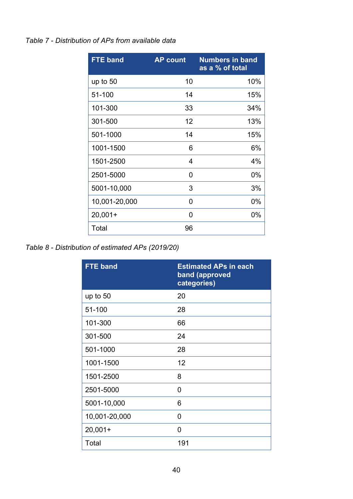#### *Table 7 - Distribution of APs from available data*

| <b>FTE band</b> | <b>AP count</b> | <b>Numbers in band</b><br>as a % of total |
|-----------------|-----------------|-------------------------------------------|
| up to $50$      | 10              | 10%                                       |
| 51-100          | 14              | 15%                                       |
| 101-300         | 33              | 34%                                       |
| 301-500         | 12              | 13%                                       |
| 501-1000        | 14              | 15%                                       |
| 1001-1500       | 6               | 6%                                        |
| 1501-2500       | 4               | 4%                                        |
| 2501-5000       | 0               | 0%                                        |
| 5001-10,000     | 3               | 3%                                        |
| 10,001-20,000   | O               | 0%                                        |
| $20,001+$       | O               | 0%                                        |
| Total           | 96              |                                           |

*Table 8 - Distribution of estimated APs (2019/20)*

| <b>FTE band</b> | <b>Estimated APs in each</b><br>band (approved<br>categories) |
|-----------------|---------------------------------------------------------------|
| up to $50$      | 20                                                            |
| 51-100          | 28                                                            |
| 101-300         | 66                                                            |
| 301-500         | 24                                                            |
| 501-1000        | 28                                                            |
| 1001-1500       | 12                                                            |
| 1501-2500       | 8                                                             |
| 2501-5000       | 0                                                             |
| 5001-10,000     | 6                                                             |
| 10,001-20,000   | 0                                                             |
| $20,001+$       | 0                                                             |
| Total           | 191                                                           |